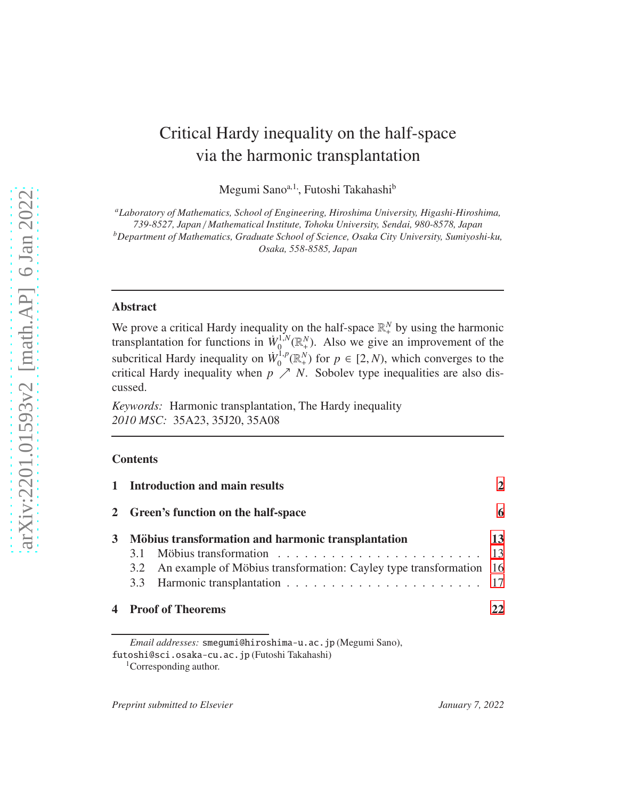# Critical Hardy inequality on the half-space via the harmonic transplantation

Megumi Sano<sup>a, 1</sup>, Futoshi Takahashi<sup>b</sup>

*<sup>a</sup>Laboratory of Mathematics, School of Engineering, Hiroshima University, Higashi-Hiroshima, 739-8527, Japan* / *Mathematical Institute, Tohoku University, Sendai, 980-8578, Japan*

*<sup>b</sup>Department of Mathematics, Graduate School of Science, Osaka City University, Sumiyoshi-ku, Osaka, 558-8585, Japan*

# Abstract

We prove a critical Hardy inequality on the half-space  $\mathbb{R}^N_+$  by using the harmonic transplantation for functions in  $\dot{W}_0^{1,N}$  $\mathcal{O}_0^{1,N}(\mathbb{R}^N_+)$ . Also we give an improvement of the subcritical Hardy inequality on  $\dot{W}_0^{1,p}$  $\int_0^{1,p} (\mathbb{R}^N_+)$  for  $p \in [2, N)$ , which converges to the critical Hardy inequality when  $p \nearrow N$ . Sobolev type inequalities are also discussed.

*Keywords:* Harmonic transplantation, The Hardy inequality *2010 MSC:* 35A23, 35J20, 35A08

## **Contents**

|   | 1 Introduction and main results<br>2 Green's function on the half-space<br>Möbius transformation and harmonic transplantation |                                                                        | 6  |
|---|-------------------------------------------------------------------------------------------------------------------------------|------------------------------------------------------------------------|----|
| 3 |                                                                                                                               |                                                                        |    |
|   |                                                                                                                               |                                                                        | 13 |
|   |                                                                                                                               |                                                                        |    |
|   |                                                                                                                               | 3.2 An example of Möbius transformation: Cayley type transformation 16 |    |
|   |                                                                                                                               |                                                                        |    |
|   | <b>4</b> Proof of Theorems                                                                                                    |                                                                        | 22 |

*Email addresses:* smegumi@hiroshima-u.ac.jp (Megumi Sano),

futoshi@sci.osaka-cu.ac.jp (Futoshi Takahashi)

<sup>&</sup>lt;sup>1</sup>Corresponding author.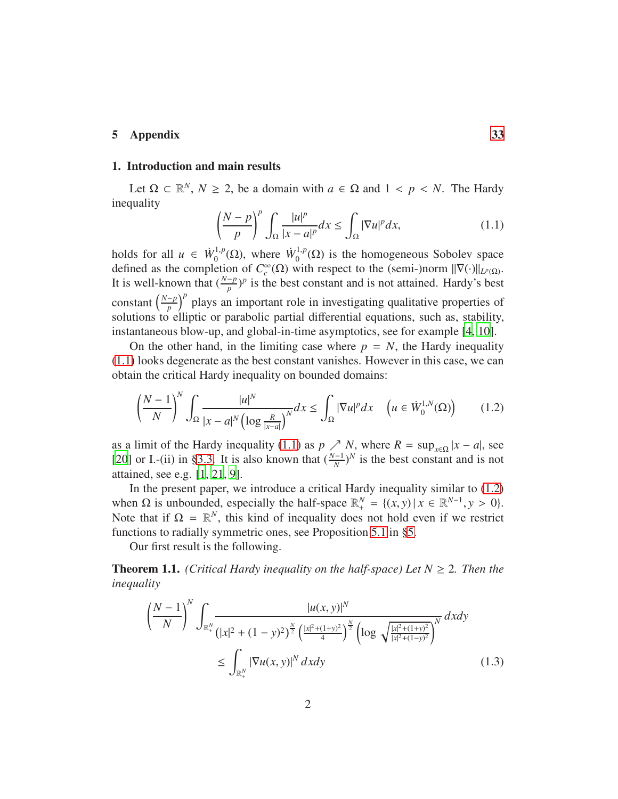# 5 Appendix [33](#page-32-0)

# <span id="page-1-0"></span>1. Introduction and main results

Let  $\Omega \subset \mathbb{R}^N$ ,  $N \ge 2$ , be a domain with  $a \in \Omega$  and  $1 < p < N$ . The Hardy inequality

<span id="page-1-2"></span><span id="page-1-1"></span>
$$
\left(\frac{N-p}{p}\right)^p \int_{\Omega} \frac{|u|^p}{|x-a|^p} dx \le \int_{\Omega} |\nabla u|^p dx, \tag{1.1}
$$

holds for all  $u \in \dot{W}_0^{1,p}$  $W_0^{1,p}(\Omega)$ , where  $\dot{W}_0^{1,p}$  $_{0}^{1,p}(\Omega)$  is the homogeneous Sobolev space defined as the completion of  $C_c^{\infty}(\Omega)$  with respect to the (semi-)norm  $||\nabla(\cdot)||_{L^p(\Omega)}$ . It is well-known that  $(\frac{N-p}{p})^p$  is the best constant and is not attained. Hardy's best constant  $\left(\frac{N-p}{p}\right)^p$  plays an important role in investigating qualitative properties of solutions to elliptic or parabolic partial differential equations, such as, stability, instantaneous blow-up, and global-in-time asymptotics, see for example [\[4,](#page-38-0) [10\]](#page-39-0).

On the other hand, in the limiting case where  $p = N$ , the Hardy inequality [\(1.1\)](#page-1-1) looks degenerate as the best constant vanishes. However in this case, we can obtain the critical Hardy inequality on bounded domains:

$$
\left(\frac{N-1}{N}\right)^N \int_{\Omega} \frac{|u|^N}{|x-a|^N \left(\log \frac{R}{|x-a|}\right)^N} dx \le \int_{\Omega} |\nabla u|^p dx \quad \left(u \in \dot{W}_0^{1,N}(\Omega)\right) \tag{1.2}
$$

as a limit of the Hardy inequality [\(1.1\)](#page-1-1) as  $p \nearrow N$ , where  $R = \sup_{x \in \Omega} |x - a|$ , see [\[20\]](#page-39-1) or I.-(ii) in [§3.3.](#page-16-0) It is also known that  $(\frac{N-1}{N})^N$  is the best constant and is not attained, see e.g. [\[1,](#page-38-1) [21,](#page-39-2) [9\]](#page-38-2).

In the present paper, we introduce a critical Hardy inequality similar to [\(1.2\)](#page-1-2) when  $\Omega$  is unbounded, especially the half-space  $\mathbb{R}^N_+ = \{(x, y) | x \in \mathbb{R}^{N-1}, y > 0\}.$ Note that if  $\Omega = \mathbb{R}^N$ , this kind of inequality does not hold even if we restrict functions to radially symmetric ones, see Proposition [5.1](#page-32-1) in [§5.](#page-32-0)

Our first result is the following.

<span id="page-1-4"></span>**Theorem 1.1.** *(Critical Hardy inequality on the half-space) Let*  $N \geq 2$ *. Then the inequality*

<span id="page-1-3"></span>
$$
\left(\frac{N-1}{N}\right)^N \int_{\mathbb{R}_+^N} \frac{|u(x,y)|^N}{\left(|x|^2 + (1-y)^2\right)^{\frac{N}{2}} \left(\frac{|x|^2 + (1+y)^2}{4}\right)^{\frac{N}{2}} \left(\log \sqrt{\frac{|x|^2 + (1+y)^2}{|x|^2 + (1-y)^2}}\right)^N} dxdy
$$
\n
$$
\leq \int_{\mathbb{R}_+^N} |\nabla u(x,y)|^N dxdy \tag{1.3}
$$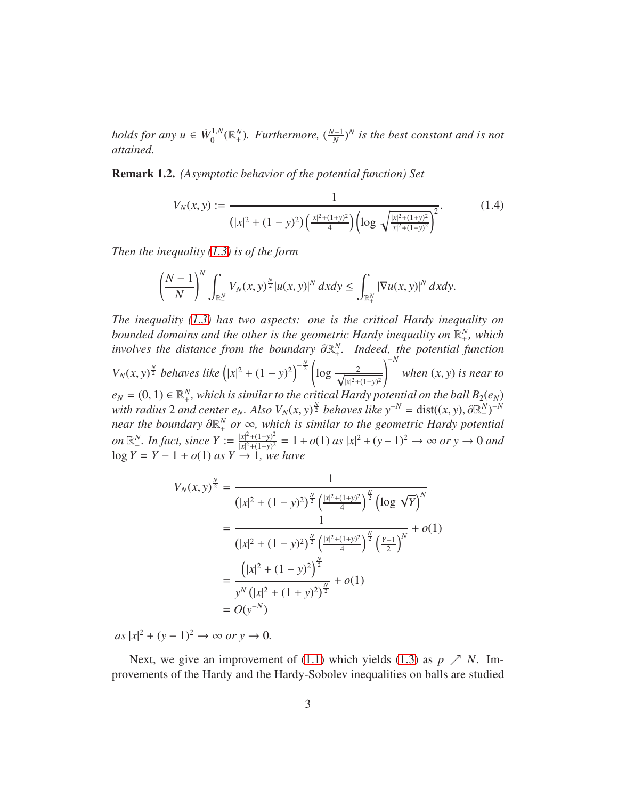*holds for any*  $u \in \dot{W}_0^{1,N}$  $\int_0^{1,N} (\mathbb{R}^N_+)$ . Furthermore,  $(\frac{N-1}{N})^N$  is the best constant and is not *attained.*

Remark 1.2. *(Asymptotic behavior of the potential function) Set*

<span id="page-2-0"></span>
$$
V_N(x, y) := \frac{1}{\left(|x|^2 + (1 - y)^2\right) \left(\frac{|x|^2 + (1 + y)^2}{4}\right) \left(\log \sqrt{\frac{|x|^2 + (1 + y)^2}{|x|^2 + (1 - y)^2}}\right)^2}.
$$
(1.4)

*Then the inequality [\(1.3\)](#page-1-3) is of the form*

$$
\left(\frac{N-1}{N}\right)^N\int_{\mathbb{R}_+^N}V_N(x,y)^{\frac{N}{2}}|u(x,y)|^N dxdy\leq \int_{\mathbb{R}_+^N}|\nabla u(x,y)|^N dxdy.
$$

*The inequality [\(1.3\)](#page-1-3) has two aspects: one is the critical Hardy inequality on* bounded domains and the other is the geometric Hardy inequality on  $\mathbb{R}^N_+$ , which *involves the distance from the boundary* ∂R *N* + *. Indeed, the potential function*  $V_N(x, y)^{\frac{N}{2}}$  *behaves like*  $(|x|^2 + (1 - y)^2)^{-\frac{N}{2}}$  $\log \frac{2}{\sqrt{|x|^2+1}}$  $|x|^2 + (1-y)^2$  $\bigwedge^{-N}$ *when* (*x*, *y*) *is near to*  $e_N = (0, 1) \in \mathbb{R}^N_+$ , which is similar to the critical Hardy potential on the ball  $B_2(e_N)$ *with radius* 2 *and center e<sub>N</sub>. Also*  $V_N(x, y)^{\frac{N}{2}}$  *behaves like*  $y^{-N} = dist((x, y), \partial \mathbb{R}^N_+)^{-N}$ *near the boundary*  $\partial \mathbb{R}^N_+$  *or*  $\infty$ *, which is similar to the geometric Hardy potential* + *on*  $\mathbb{R}^N_+$ *. In fact, since*  $Y := \frac{|x|^2 + (1+y)^2}{|x|^2 + (1-y)^2}$  $\frac{|x|^2 + (1+y)^2}{|x|^2 + (1-y)^2}$  = 1 + *o*(1) *as*  $|x|^2 + (y-1)^2$  → ∞ *or* y → 0 *and* log *Y* = *Y* − 1 + *o*(1) *as Y* → 1*, we have*

$$
V_N(x, y)^{\frac{N}{2}} = \frac{1}{\left(|x|^2 + (1 - y)^2\right)^{\frac{N}{2}} \left(\frac{|x|^2 + (1 + y)^2}{4}\right)^{\frac{N}{2}} \left(\log \sqrt{Y}\right)^N}
$$
  
= 
$$
\frac{1}{\left(|x|^2 + (1 - y)^2\right)^{\frac{N}{2}} \left(\frac{|x|^2 + (1 + y)^2}{4}\right)^{\frac{N}{2}} \left(\frac{y - 1}{2}\right)^N} + o(1)
$$
  
= 
$$
\frac{\left(|x|^2 + (1 - y)^2\right)^{\frac{N}{2}}}{y^N \left(|x|^2 + (1 + y)^2\right)^{\frac{N}{2}}} + o(1)
$$
  
= 
$$
O(y^{-N})
$$

 $as |x|^2 + (y - 1)^2 \to \infty \text{ or } y \to 0.$ 

Next, we give an improvement of [\(1.1\)](#page-1-1) which yields [\(1.3\)](#page-1-3) as  $p \nearrow N$ . Improvements of the Hardy and the Hardy-Sobolev inequalities on balls are studied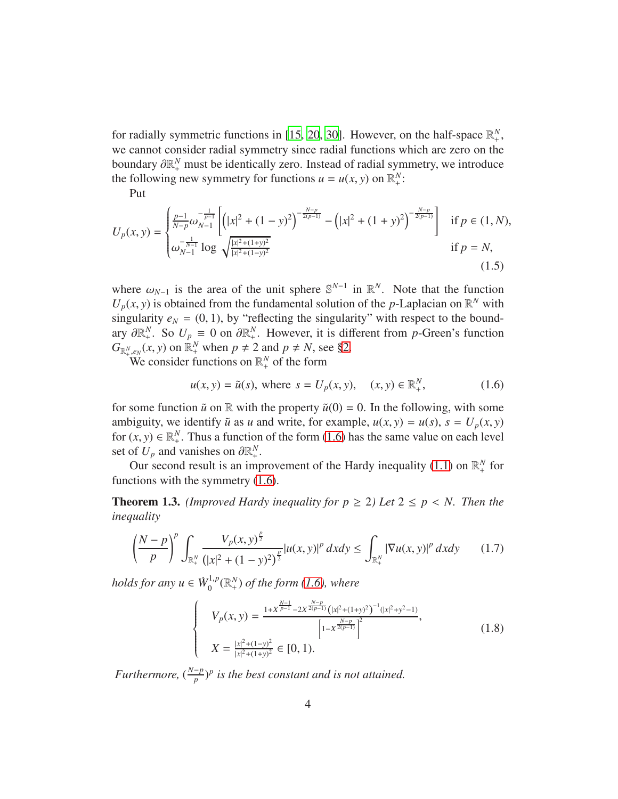for radially symmetric functions in [\[15,](#page-39-3) [20,](#page-39-1) 30]. However, on the half-space  $\mathbb{R}^N_+$ , we cannot consider radial symmetry since radial functions which are zero on the boundary  $\partial \mathbb{R}^N_+$  must be identically zero. Instead of radial symmetry, we introduce the following new symmetry for functions  $u = u(x, y)$  on  $\mathbb{R}^N_+$ :

Put

$$
U_p(x,y) = \begin{cases} \frac{p-1}{N-p} \omega_{N-1}^{-\frac{1}{p-1}} \left[ \left( |x|^2 + (1-y)^2 \right)^{-\frac{N-p}{2(p-1)}} - \left( |x|^2 + (1+y)^2 \right)^{-\frac{N-p}{2(p-1)}} \right] & \text{if } p \in (1,N),\\ \omega_{N-1}^{-\frac{1}{N-1}} \log \sqrt{\frac{|x|^2 + (1+y)^2}{|x|^2 + (1-y)^2}} & \text{if } p = N,\end{cases} \tag{1.5}
$$

where  $\omega_{N-1}$  is the area of the unit sphere  $\mathbb{S}^{N-1}$  in  $\mathbb{R}^N$ . Note that the function  $U_p(x, y)$  is obtained from the fundamental solution of the *p*-Laplacian on  $\mathbb{R}^N$  with singularity  $e_N = (0, 1)$ , by "reflecting the singularity" with respect to the boundary  $\partial \mathbb{R}^N_+$ . So  $U_p \equiv 0$  on  $\partial \mathbb{R}^N_+$ . However, it is different from *p*-Green's function  $G_{\mathbb{R}_{+}^{N},e_{N}}(x, y)$  on  $\mathbb{R}_{+}^{N}$  when  $p \neq 2$  and  $p \neq N$ , see [§2.](#page-5-0)

We consider functions on  $\mathbb{R}^N_+$  of the form

<span id="page-3-3"></span><span id="page-3-0"></span>
$$
u(x, y) = \tilde{u}(s)
$$
, where  $s = U_p(x, y)$ ,  $(x, y) \in \mathbb{R}^N_+$ , (1.6)

for some function  $\tilde{u}$  on  $\mathbb R$  with the property  $\tilde{u}(0) = 0$ . In the following, with some ambiguity, we identify  $\tilde{u}$  as *u* and write, for example,  $u(x, y) = u(s)$ ,  $s = U_p(x, y)$ for  $(x, y) \in \mathbb{R}^N_+$ . Thus a function of the form [\(1.6\)](#page-3-0) has the same value on each level set of  $U_p$  and vanishes on  $\partial \mathbb{R}^N_+$ .

Our second result is an improvement of the Hardy inequality [\(1.1\)](#page-1-1) on  $\mathbb{R}^N_+$  for functions with the symmetry [\(1.6\)](#page-3-0).

<span id="page-3-1"></span>**Theorem 1.3.** *(Improved Hardy inequality for*  $p \ge 2$ *) Let*  $2 \le p \le N$ . *Then the inequality*

$$
\left(\frac{N-p}{p}\right)^p \int_{\mathbb{R}_+^N} \frac{V_p(x,y)^{\frac{p}{2}}}{\left(|x|^2 + (1-y)^2\right)^{\frac{p}{2}}} |u(x,y)|^p \, dxdy \le \int_{\mathbb{R}_+^N} |\nabla u(x,y)|^p \, dxdy \qquad (1.7)
$$

*holds for any*  $u \in \dot{W}_0^{1,p}$  $\int_0^{1,p}$  ( $\mathbb{R}^N_+$ ) of the form [\(1.6\)](#page-3-0), where

> $\sqrt{ }$  $\left\{\right.$

> $\begin{array}{c} \hline \end{array}$

<span id="page-3-2"></span>
$$
V_p(x, y) = \frac{1 + x^{\frac{N-1}{p-1}} - 2x^{\frac{N-p}{2(p-1)}}\left(|x|^2 + (1+y)^2\right)^{-1}(|x|^2 + y^2 - 1)}{\left[1 - x^{\frac{N-p}{2(p-1)}}\right]^2},
$$
  
\n
$$
X = \frac{|x|^2 + (1-y)^2}{|x|^2 + (1+y)^2} \in [0, 1).
$$
\n(1.8)

*Furthermore,*  $(\frac{N-p}{p})^p$  *is the best constant and is not attained.*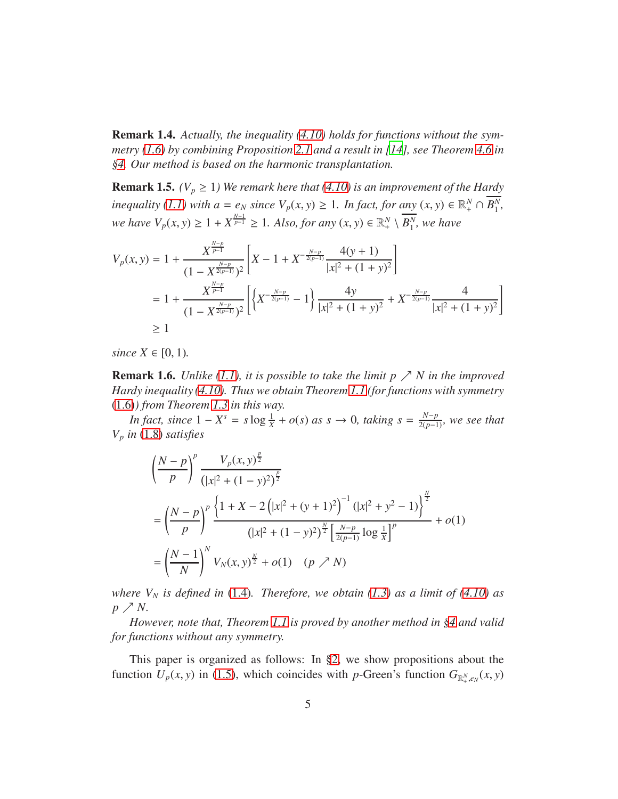<span id="page-4-0"></span>Remark 1.4. *Actually, the inequality [\(4.10\)](#page-30-0) holds for functions without the symmetry [\(1.6\)](#page-3-0) by combining Proposition [2.1](#page-6-0) and a result in [\[14\]](#page-39-4), see Theorem [4.6](#page-30-1) in [§4.](#page-21-0) Our method is based on the harmonic transplantation.*

**Remark 1.5.** *(V<sub>p</sub>*  $\geq$  1) We remark here that [\(4.10\)](#page-30-0) is an improvement of the Hardy *inequality* [\(1.1\)](#page-1-1) with  $a = e_N$  *since*  $V_p(x, y) \ge 1$ *. In fact, for any*  $(x, y) \in \mathbb{R}_+^N \cap \overline{B_1^N}$ 1 *, we have*  $V_p(x, y) \ge 1 + X^{\frac{N-1}{p-1}} \ge 1$ *. Also, for any*  $(x, y) \in \mathbb{R}_+^N \setminus \overline{B_1^N}$  $\frac{N}{1}$ , we have

$$
V_p(x, y) = 1 + \frac{X^{\frac{N-p}{p-1}}}{(1 - X^{\frac{N-p}{2(p-1)}})^2} \left[ X - 1 + X^{-\frac{N-p}{2(p-1)}} \frac{4(y+1)}{|x|^2 + (1+y)^2} \right]
$$
  
=  $1 + \frac{X^{\frac{N-p}{p-1}}}{(1 - X^{\frac{N-p}{2(p-1)}})^2} \left[ \left\{ X^{-\frac{N-p}{2(p-1)}} - 1 \right\} \frac{4y}{|x|^2 + (1+y)^2} + X^{-\frac{N-p}{2(p-1)}} \frac{4}{|x|^2 + (1+y)^2} \right]$   
 $\geq 1$ 

*since*  $X \in [0, 1)$ *.* 

**Remark 1.6.** *Unlike* [\(1.1\)](#page-1-1), it is possible to take the limit  $p \nearrow N$  in the improved *Hardy inequality [\(4.10\)](#page-30-0). Thus we obtain Theorem [1.1](#page-1-4) (for functions with symmetry* [\(1.6\)](#page-3-0)*) from Theorem [1.3](#page-3-1) in this way.*

*In fact, since*  $1 - X^s = s \log \frac{1}{X} + o(s)$  *as*  $s \to 0$ *, taking*  $s = \frac{N-p}{2(p-1)}$ *, we see that V<sup>p</sup> in* [\(1.8\)](#page-3-2) *satisfies*

$$
\left(\frac{N-p}{p}\right)^p \frac{V_p(x, y)^{\frac{p}{2}}}{\left(|x|^2 + (1-y)^2\right)^{\frac{p}{2}}} \n= \left(\frac{N-p}{p}\right)^p \frac{\left\{1 + X - 2\left(|x|^2 + (y+1)^2\right)^{-1}\left(|x|^2 + y^2 - 1\right)\right\}^{\frac{N}{2}}}{\left(|x|^2 + (1-y)^2\right)^{\frac{N}{2}} \left[\frac{N-p}{2(p-1)}\log\frac{1}{X}\right]^p} + o(1) \n= \left(\frac{N-1}{N}\right)^N V_N(x, y)^{\frac{N}{2}} + o(1) \quad (p \nearrow N)
$$

*where*  $V_N$  *is defined in* [\(1.4\)](#page-2-0)*. Therefore, we obtain* [\(1.3\)](#page-1-3) *as a limit of* [\(4.10\)](#page-30-0) *as p*  $\nearrow$  *N*.

*However, note that, Theorem [1.1](#page-1-4) is proved by another method in [§4](#page-21-0) and valid for functions without any symmetry.*

This paper is organized as follows: In [§2,](#page-5-0) we show propositions about the function  $U_p(x, y)$  in [\(1.5\)](#page-3-3), which coincides with *p*-Green's function  $G_{\mathbb{R}^N_+, e_N}(x, y)$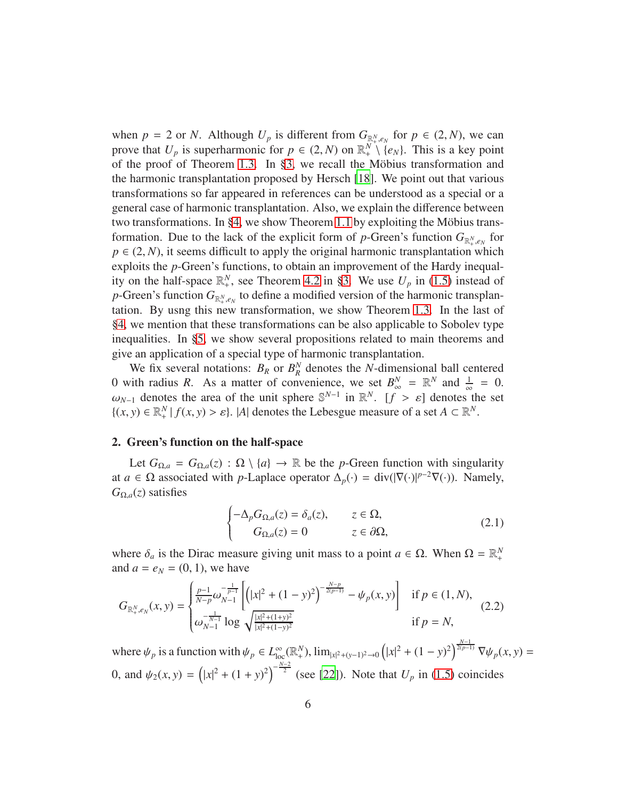when  $p = 2$  or *N*. Although  $U_p$  is different from  $G_{\mathbb{R}^N,\epsilon_N}$  for  $p \in (2,N)$ , we can prove that  $U_p$  is superharmonic for  $p \in (2, N)$  on  $\mathbb{R}^N_+ \setminus \{e_N\}$ . This is a key point of the proof of Theorem [1.3.](#page-3-1) In  $\S3$ , we recall the Möbius transformation and the harmonic transplantation proposed by Hersch [\[18\]](#page-39-5). We point out that various transformations so far appeared in references can be understood as a special or a general case of harmonic transplantation. Also, we explain the difference between two transformations. In [§4,](#page-21-0) we show Theorem [1.1](#page-1-4) by exploiting the Möbius transformation. Due to the lack of the explicit form of *p*-Green's function  $G_{\mathbb{R}^N_+,e_N}$  for  $p \in (2, N)$ , it seems difficult to apply the original harmonic transplantation which exploits the *p*-Green's functions, to obtain an improvement of the Hardy inequality on the half-space  $\mathbb{R}^N_+$ , see Theorem [4.2](#page-23-0) in [§3.](#page-12-0) We use  $U_p$  in [\(1.5\)](#page-3-3) instead of p-Green's function  $G_{\mathbb{R}^N_+,\mathcal{e}_N}$  to define a modified version of the harmonic transplantation. By usng this new transformation, we show Theorem [1.3.](#page-3-1) In the last of [§4,](#page-21-0) we mention that these transformations can be also applicable to Sobolev type inequalities. In [§5,](#page-32-0) we show several propositions related to main theorems and give an application of a special type of harmonic transplantation.

We fix several notations:  $B_R$  or  $B_R^N$ *R* denotes the *N*-dimensional ball centered 0 with radius *R*. As a matter of convenience, we set  $B_{\infty}^N = \mathbb{R}^N$  and  $\frac{1}{\infty} = 0$ .  $\omega_{N-1}$  denotes the area of the unit sphere  $\mathbb{S}^{N-1}$  in  $\mathbb{R}^N$ . [*f* >  $\varepsilon$ ] denotes the set  $\{(x, y) \in \mathbb{R}^N_+ \mid f(x, y) > \varepsilon\}.$  |*A*| denotes the Lebesgue measure of a set  $A \subset \mathbb{R}^N$ .

#### <span id="page-5-0"></span>2. Green's function on the half-space

Let  $G_{\Omega,a} = G_{\Omega,a}(z) : \Omega \setminus \{a\} \to \mathbb{R}$  be the *p*-Green function with singularity at *a* ∈  $\Omega$  associated with *p*-Laplace operator  $\Delta_p(\cdot) = \text{div}(|\nabla(\cdot)|^{p-2}\nabla(\cdot))$ . Namely,  $G_{\Omega,a}(z)$  satisfies

<span id="page-5-2"></span><span id="page-5-1"></span>
$$
\begin{cases}\n-\Delta_p G_{\Omega,a}(z) = \delta_a(z), & z \in \Omega, \\
G_{\Omega,a}(z) = 0 & z \in \partial\Omega,\n\end{cases}
$$
\n(2.1)

where  $\delta_a$  is the Dirac measure giving unit mass to a point  $a \in \Omega$ . When  $\Omega = \mathbb{R}^N_+$ and  $a = e_N = (0, 1)$ , we have

$$
G_{\mathbb{R}^N_{+},e_N}(x,y) = \begin{cases} \frac{p-1}{N-p}\omega_{N-1}^{-\frac{1}{p-1}} \left[ \left( |x|^2 + (1-y)^2 \right)^{-\frac{N-p}{2(p-1)}} - \psi_p(x,y) \right] & \text{if } p \in (1,N),\\ \omega_{N-1}^{-\frac{1}{N-1}} \log \sqrt{\frac{|x|^2 + (1+y)^2}{|x|^2 + (1-y)^2}} & \text{if } p = N,\end{cases} \tag{2.2}
$$

where  $\psi_p$  is a function with  $\psi_p \in L^{\infty}_{loc}(\mathbb{R}^N_+), \lim_{|x|^2 + (y-1)^2 \to 0} (|x|^2 + (1-y)^2)^{\frac{N-1}{2(p-1)}} \nabla \psi_p(x, y) =$ 0, and  $\psi_2(x, y) = (|x|^2 + (1 + y)^2)^{-\frac{N-2}{2}}$  (see [\[22](#page-40-0)]). Note that  $U_p$  in [\(1.5\)](#page-3-3) coincides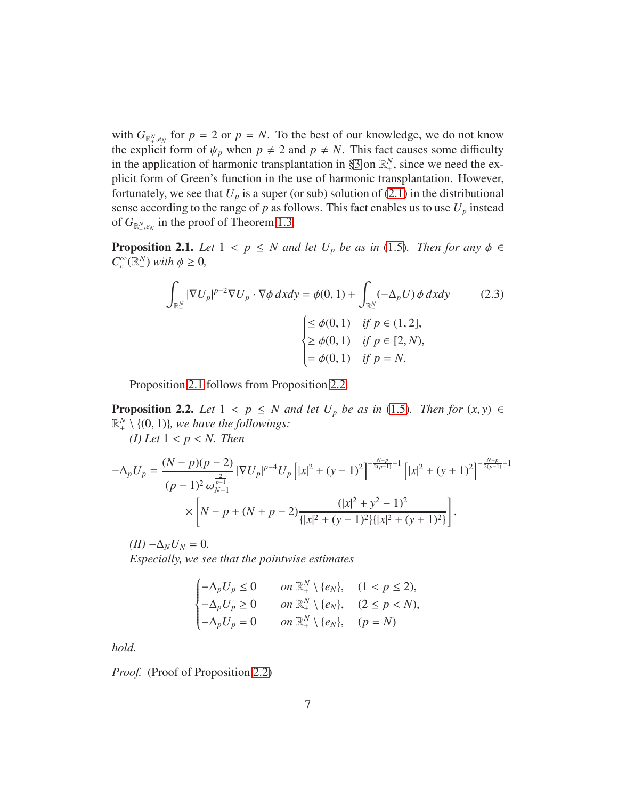with  $G_{\mathbb{R}^N_+,e_N}$  for  $p = 2$  or  $p = N$ . To the best of our knowledge, we do not know the explicit form of  $\psi_p$  when  $p \neq 2$  and  $p \neq N$ . This fact causes some difficulty in the application of harmonic transplantation in [§3](#page-12-0) on  $\mathbb{R}^N_+$ , since we need the explicit form of Green's function in the use of harmonic transplantation. However, fortunately, we see that  $U_p$  is a super (or sub) solution of [\(2.1\)](#page-5-1) in the distributional sense according to the range of  $p$  as follows. This fact enables us to use  $U_p$  instead of  $G_{\mathbb{R}^N_+,\mathcal{e}_N}$  in the proof of Theorem [1.3.](#page-3-1)

<span id="page-6-0"></span>**Proposition 2.1.** *Let*  $1 < p \le N$  *and let*  $U_p$  *be as in* [\(1.5\)](#page-3-3)*. Then for any*  $\phi \in$  $C_c^{\infty}(\mathbb{R}^N_+)$  *with*  $\phi \geq 0$ *,* 

<span id="page-6-2"></span>
$$
\int_{\mathbb{R}_+^N} |\nabla U_p|^{p-2} \nabla U_p \cdot \nabla \phi \, dxdy = \phi(0, 1) + \int_{\mathbb{R}_+^N} (-\Delta_p U) \phi \, dxdy \tag{2.3}
$$
\n
$$
\begin{cases}\n\leq \phi(0, 1) & \text{if } p \in (1, 2], \\
\geq \phi(0, 1) & \text{if } p \in [2, N), \\
= \phi(0, 1) & \text{if } p = N.\n\end{cases}
$$

Proposition [2.1](#page-6-0) follows from Proposition [2.2.](#page-6-1)

<span id="page-6-1"></span>**Proposition 2.2.** *Let*  $1 < p \leq N$  *and let*  $U_p$  *be as in* [\(1.5\)](#page-3-3)*. Then for*  $(x, y) \in$  $\mathbb{R}^N_+ \setminus \{ (0, 1) \}$ *, we have the followings:* 

*(I) Let* 1 < *p* < *N. Then*

$$
-\Delta_p U_p = \frac{(N-p)(p-2)}{(p-1)^2 \omega_{N-1}^{\frac{2}{p-1}}} |\nabla U_p|^{p-4} U_p [ |x|^2 + (y-1)^2 ]^{-\frac{N-p}{2(p-1)}-1} [ |x|^2 + (y+1)^2 ]^{-\frac{N-p}{2(p-1)}-1}
$$
  
 
$$
\times \left[ N-p + (N+p-2) \frac{(|x|^2 + y^2 - 1)^2}{\{|x|^2 + (y-1)^2\}| |x|^2 + (y+1)^2]} \right].
$$

 $(II) - \Delta_N U_N = 0.$ 

*Especially, we see that the pointwise estimates*

$$
\begin{cases}\n-\Delta_p U_p \le 0 & \text{ on } \mathbb{R}_+^N \setminus \{e_N\}, & (1 < p \le 2), \\
-\Delta_p U_p \ge 0 & \text{ on } \mathbb{R}_+^N \setminus \{e_N\}, & (2 \le p < N), \\
-\Delta_p U_p = 0 & \text{ on } \mathbb{R}_+^N \setminus \{e_N\}, & (p = N)\n\end{cases}
$$

*hold.*

*Proof.* (Proof of Proposition [2.2\)](#page-6-1)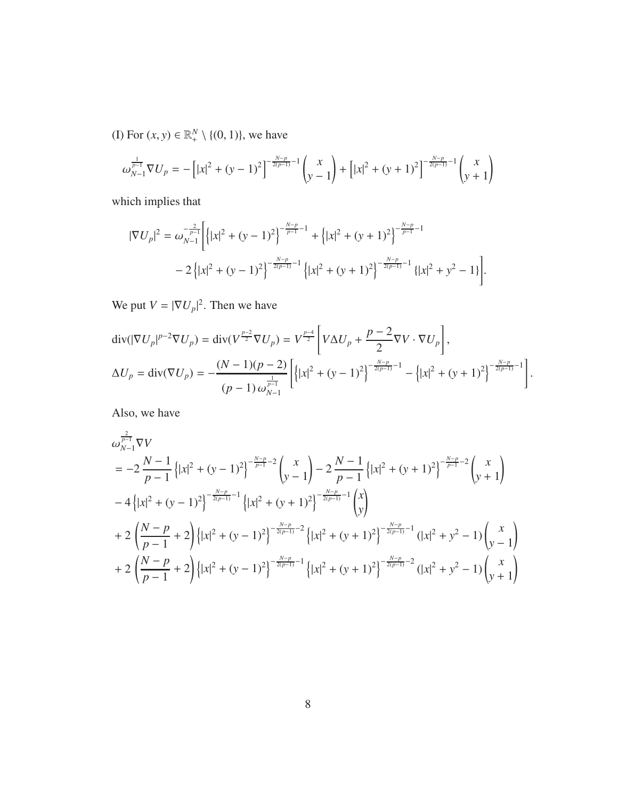(I) For  $(x, y) \in \mathbb{R}^N_+ \setminus \{(0, 1)\}\)$ , we have

$$
\omega_{N-1}^{\frac{1}{p-1}} \nabla U_p = -\left[ |x|^2 + (y-1)^2 \right]^{-\frac{N-p}{2(p-1)}-1} \begin{pmatrix} x \\ y-1 \end{pmatrix} + \left[ |x|^2 + (y+1)^2 \right]^{-\frac{N-p}{2(p-1)}-1} \begin{pmatrix} x \\ y+1 \end{pmatrix}
$$

which implies that

$$
|\nabla U_p|^2 = \omega_{N-1}^{-\frac{2}{p-1}} \Biggl[ \Bigl\{ |x|^2 + (y-1)^2 \Bigr\}^{-\frac{N-p}{p-1}-1} + \Bigl\{ |x|^2 + (y+1)^2 \Bigr\}^{-\frac{N-p}{p-1}-1} - 2 \Bigl\{ |x|^2 + (y-1)^2 \Bigr\}^{-\frac{N-p}{2(p-1)}-1} \Bigl\{ |x|^2 + (y+1)^2 \Bigr\}^{-\frac{N-p}{2(p-1)}-1} \Bigl\{ |x|^2 + y^2 - 1 \Bigr\} \Biggr].
$$

We put  $V = |\nabla U_p|^2$ . Then we have

$$
\operatorname{div}(|\nabla U_p|^{p-2}\nabla U_p) = \operatorname{div}(V^{\frac{p-2}{2}}\nabla U_p) = V^{\frac{p-4}{2}} \left[ V \Delta U_p + \frac{p-2}{2} \nabla V \cdot \nabla U_p \right],
$$
  
\n
$$
\Delta U_p = \operatorname{div}(\nabla U_p) = -\frac{(N-1)(p-2)}{(p-1)\omega_{N-1}^{\frac{1}{p-1}}} \left[ \left\{ |x|^2 + (y-1)^2 \right\}^{-\frac{N-p}{2(p-1)}-1} - \left\{ |x|^2 + (y+1)^2 \right\}^{-\frac{N-p}{2(p-1)}-1} \right].
$$

Also, we have

$$
\omega_{N-1}^{\frac{2}{p-1}} \nabla V
$$
\n
$$
= -2 \frac{N-1}{p-1} \left\{ |x|^2 + (y-1)^2 \right\}^{-\frac{N-p}{p-1}-2} \begin{pmatrix} x \\ y-1 \end{pmatrix} - 2 \frac{N-1}{p-1} \left\{ |x|^2 + (y+1)^2 \right\}^{-\frac{N-p}{p-1}-2} \begin{pmatrix} x \\ y+1 \end{pmatrix}
$$
\n
$$
-4 \left\{ |x|^2 + (y-1)^2 \right\}^{-\frac{N-p}{2(p-1)}-1} \left\{ |x|^2 + (y+1)^2 \right\}^{-\frac{N-p}{2(p-1)}-1} \begin{pmatrix} x \\ y \end{pmatrix}
$$
\n
$$
+ 2 \left( \frac{N-p}{p-1} + 2 \right) \left\{ |x|^2 + (y-1)^2 \right\}^{-\frac{N-p}{2(p-1)}-2} \left\{ |x|^2 + (y+1)^2 \right\}^{-\frac{N-p}{2(p-1)}-1} (|x|^2 + y^2 - 1) \begin{pmatrix} x \\ y-1 \end{pmatrix}
$$
\n
$$
+ 2 \left( \frac{N-p}{p-1} + 2 \right) \left\{ |x|^2 + (y-1)^2 \right\}^{-\frac{N-p}{2(p-1)}-1} \left\{ |x|^2 + (y+1)^2 \right\}^{-\frac{N-p}{2(p-1)}-2} (|x|^2 + y^2 - 1) \begin{pmatrix} x \\ y+1 \end{pmatrix}
$$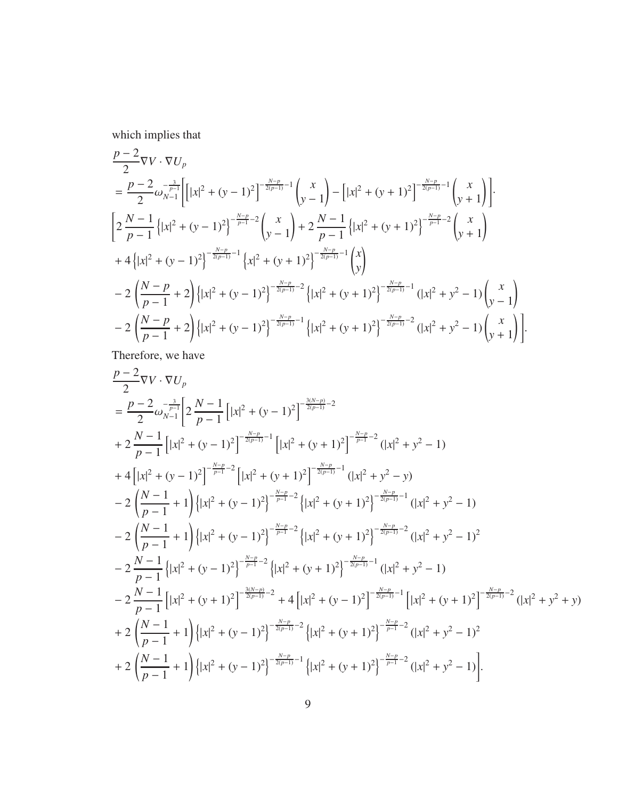which implies that

$$
\frac{p-2}{2}\nabla V \cdot \nabla U_p
$$
\n
$$
= \frac{p-2}{2}\omega_{N-1}^{-\frac{3}{p-1}}\Bigg[\Big|x|^2 + (y-1)^2\Big]^{-\frac{N-p}{2(p-1)}-1}\Bigg(\frac{x}{y-1}\Bigg) - \Big[x|^2 + (y+1)^2\Big]^{-\frac{N-p}{2(p-1)}-1}\Bigg(\frac{x}{y+1}\Bigg).
$$
\n
$$
\Big[2\frac{N-1}{p-1}\Big\{\Big|x|^2 + (y-1)^2\Big\}^{-\frac{N-p}{p-1}-2}\Bigg(\frac{x}{y-1}\Big) + 2\frac{N-1}{p-1}\Big\{\Big|x|^2 + (y+1)^2\Big\}^{-\frac{N-p}{p-1}-2}\Bigg(\frac{x}{y+1}\Big) + 4\Big\{\Big|x|^2 + (y-1)^2\Big\}^{-\frac{N-p}{2(p-1)}-1}\Big\{\Big|x|^2 + (y+1)^2\Big\}^{-\frac{N-p}{2(p-1)}-1}\Bigg(\frac{x}{y}\Big) - 2\Big(\frac{N-p}{p-1}+2\Big)\Big\{\Big|x|^2 + (y-1)^2\Big\}^{-\frac{N-p}{2(p-1)}-2}\Big\{\Big|x|^2 + (y+1)^2\Big\}^{-\frac{N-p}{2(p-1)}-1}\Big(\Big|x|^2 + y^2 - 1\Big)\Big(\frac{x}{y-1}\Big) - 2\Big(\frac{N-p}{p-1}+2\Big)\Big\{\Big|x|^2 + (y-1)^2\Big\}^{-\frac{N-p}{2(p-1)}-1}\Big\{\Big|x|^2 + (y+1)^2\Big\}^{-\frac{N-p}{2(p-1)}-2}\Big(\Big|x|^2 + y^2 - 1\Big)\Big(\frac{x}{y+1}\Big)\Big].
$$

Therefore, we have

$$
\frac{p-2}{2}\nabla V \cdot \nabla U_p
$$
\n
$$
= \frac{p-2}{2}\omega_{N-1}^{-\frac{3}{p-1}} \left[ 2\frac{N-1}{p-1} \left[ |x|^2 + (y-1)^2 \right]^{-\frac{3(N-p)}{2(p-1)}-2} + 2\frac{N-1}{p-1} \left[ |x|^2 + (y-1)^2 \right]^{-\frac{N-p}{p-1}-1} \left[ |x|^2 + (y+1)^2 \right]^{-\frac{N-p}{p-1}-2} (|x|^2 + y^2 - 1) + 4\left[ |x|^2 + (y-1)^2 \right]^{-\frac{N-p}{p-1}-2} \left[ |x|^2 + (y+1)^2 \right]^{-\frac{N-p}{2(p-1)}-1} (|x|^2 + y^2 - y) - 2\left( \frac{N-1}{p-1} + 1 \right) \left\{ |x|^2 + (y-1)^2 \right\}^{-\frac{N-p}{p-1}-2} \left\{ |x|^2 + (y+1)^2 \right\}^{-\frac{N-p}{2(p-1)}-1} (|x|^2 + y^2 - 1) - 2\left( \frac{N-1}{p-1} + 1 \right) \left\{ |x|^2 + (y-1)^2 \right\}^{-\frac{N-p}{p-1}-2} \left\{ |x|^2 + (y+1)^2 \right\}^{-\frac{N-p}{2(p-1)}-2} (|x|^2 + y^2 - 1)^2 - 2\frac{N-1}{p-1} \left\{ |x|^2 + (y-1)^2 \right\}^{-\frac{N-p}{2(p-1)}-2} \left\{ |x|^2 + (y+1)^2 \right\}^{-\frac{N-p}{2(p-1)}-1} (|x|^2 + y^2 - 1) - 2\frac{N-1}{p-1} \left[ |x|^2 + (y+1)^2 \right]^{-\frac{N-p}{2(p-1)}-2} + 4\left[ |x|^2 + (y-1)^2 \right]^{-\frac{N-p}{2(p-1)}-1} \left[ |x|^2 + (y+1)^2 \right]^{-\frac{N-p}{2(p-1)}-2} (|x|^2 + y^2 + y) + 2\left( \frac{N-1}{p-1} + 1 \right) \left\{ |x|^2 + (y-1)^2 \right\}^{-\frac{N-p}{2(p-1)}-1} \left\{ |x|^
$$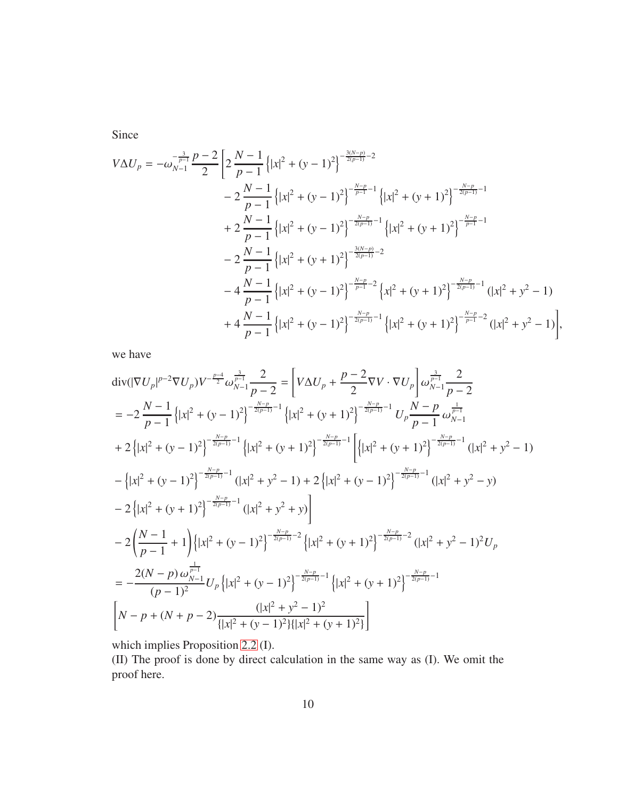Since

$$
V \Delta U_p = -\omega_{N-1}^{-\frac{3}{p-1}} \frac{p-2}{2} \left[ 2 \frac{N-1}{p-1} \left\{ |x|^2 + (y-1)^2 \right\}^{-\frac{3(N-p)}{2(p-1)}-2} - 2 \frac{N-1}{p-1} \left\{ |x|^2 + (y-1)^2 \right\}^{-\frac{N-p}{p-1}-1} \left\{ |x|^2 + (y+1)^2 \right\}^{-\frac{N-p}{2(p-1)}-1} + 2 \frac{N-1}{p-1} \left\{ |x|^2 + (y-1)^2 \right\}^{-\frac{N-p}{2(p-1)}-1} \left\{ |x|^2 + (y+1)^2 \right\}^{-\frac{N-p}{2(p-1)}-1} - 2 \frac{N-1}{p-1} \left\{ |x|^2 + (y+1)^2 \right\}^{-\frac{3(N-p)}{2(p-1)}-2} - 4 \frac{N-1}{p-1} \left\{ |x|^2 + (y-1)^2 \right\}^{-\frac{N-p}{p-1}-2} \left\{ x^2 + (y+1)^2 \right\}^{-\frac{N-p}{2(p-1)}-1} (|x|^2 + y^2 - 1) + 4 \frac{N-1}{p-1} \left\{ |x|^2 + (y-1)^2 \right\}^{-\frac{N-p}{2(p-1)}-1} \left\{ |x|^2 + (y+1)^2 \right\}^{-\frac{N-p}{2(p-1)}-2} (|x|^2 + y^2 - 1) \right\},
$$

we have

$$
\begin{split}\n\text{div}(|\nabla U_{p}|^{p-2}\nabla U_{p})V^{-\frac{p-4}{2}}\omega_{N-1}^{\frac{3}{p-1}}\frac{2}{p-2} &= \left[V\Delta U_{p} + \frac{p-2}{2}\nabla V \cdot \nabla U_{p}\right]\omega_{N-1}^{\frac{3}{p-1}}\frac{2}{p-2} \\
&= -2\frac{N-1}{p-1}\left\{|x|^{2} + (y-1)^{2}\right\}^{-\frac{N-p}{2(p-1)}-1}\left\{|x|^{2} + (y+1)^{2}\right\}^{-\frac{N-p}{2(p-1)}-1}U_{p}\frac{N-p}{p-1}\omega_{N-1}^{\frac{1}{p-1}} \\
&+ 2\left\{|x|^{2} + (y-1)^{2}\right\}^{-\frac{N-p}{2(p-1)}-1}\left\{|x|^{2} + (y+1)^{2}\right\}^{-\frac{N-p}{2(p-1)}-1}\left\{|x|^{2} + (y+1)^{2}\right\}^{-\frac{N-p}{2(p-1)}-1}(|x|^{2} + y^{2} - 1) \\
&- \left\{|x|^{2} + (y-1)^{2}\right\}^{-\frac{N-p}{2(p-1)}-1}(|x|^{2} + y^{2} - 1) + 2\left\{|x|^{2} + (y-1)^{2}\right\}^{-\frac{N-p}{2(p-1)}-1}(|x|^{2} + y^{2} - y) \\
&- 2\left\{|x|^{2} + (y+1)^{2}\right\}^{-\frac{N-p}{2(p-1)}-1}(|x|^{2} + y^{2} + y)\right] \\
&- 2\left(\frac{N-1}{p-1} + 1\right)\left\{|x|^{2} + (y-1)^{2}\right\}^{-\frac{N-p}{2(p-1)}-2}\left\{|x|^{2} + (y+1)^{2}\right\}^{-\frac{N-p}{2(p-1)}-2}(|x|^{2} + y^{2} - 1)^{2}U_{p} \\
&= -\frac{2(N-p)\omega_{N-1}^{\frac{1}{p-1}}}{(p-1)^{2}}U_{p}\left\{|x|^{2} + (y-1)^{2}\right\}^{-\frac{N-p}{2(p-1)}-1}\left\{|x|^{2} + (y+1)^{2}\right\}^{-\frac{N-p}{2
$$

which implies Proposition [2.2](#page-6-1) (I).

(II) The proof is done by direct calculation in the same way as (I). We omit the proof here.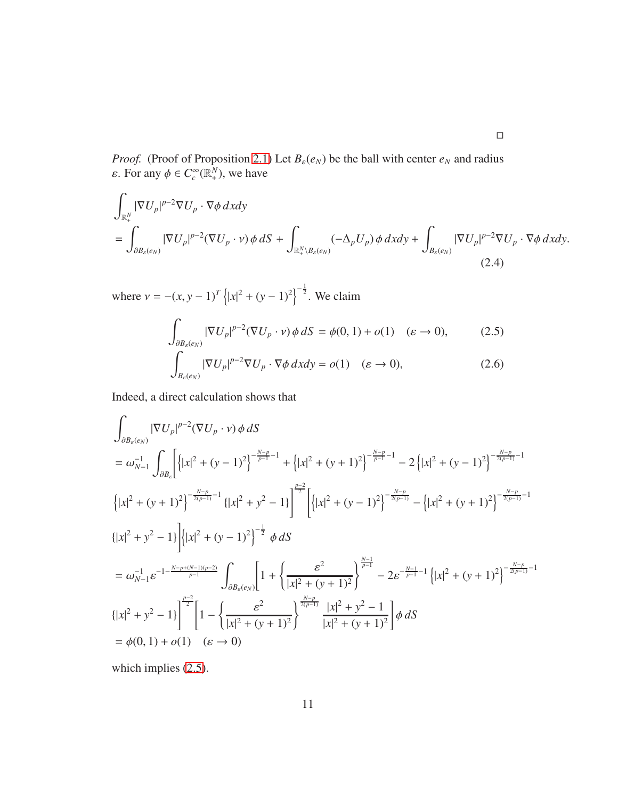*Proof.* (Proof of Proposition [2.1\)](#page-6-0) Let  $B_{\varepsilon}(e_N)$  be the ball with center  $e_N$  and radius *ε*. For any  $\phi \in C_c^{\infty}(\mathbb{R}^N_+)$ , we have

$$
\int_{\mathbb{R}_+^N} |\nabla U_p|^{p-2} \nabla U_p \cdot \nabla \phi \, dxdy
$$
\n
$$
= \int_{\partial B_\varepsilon(e_N)} |\nabla U_p|^{p-2} (\nabla U_p \cdot \mathbf{v}) \phi \, dS + \int_{\mathbb{R}_+^N \setminus B_\varepsilon(e_N)} (-\Delta_p U_p) \phi \, dxdy + \int_{B_\varepsilon(e_N)} |\nabla U_p|^{p-2} \nabla U_p \cdot \nabla \phi \, dxdy. \tag{2.4}
$$

where  $v = -(x, y - 1)^T \left\{ |x|^2 + (y - 1)^2 \right\}^{-\frac{1}{2}}$ . We claim

<span id="page-10-2"></span><span id="page-10-1"></span><span id="page-10-0"></span>
$$
\int_{\partial B_{\varepsilon}(e_N)} |\nabla U_p|^{p-2} (\nabla U_p \cdot \mathbf{v}) \phi \, dS = \phi(0, 1) + o(1) \quad (\varepsilon \to 0), \tag{2.5}
$$
\n
$$
\int_{B_{\varepsilon}(e_N)} |\nabla U_p|^{p-2} \nabla U_p \cdot \nabla \phi \, dxdy = o(1) \quad (\varepsilon \to 0), \tag{2.6}
$$

Indeed, a direct calculation shows that

$$
\int_{\partial B_{\varepsilon}(e_N)} |\nabla U_p|^{p-2} (\nabla U_p \cdot v) \phi \, dS
$$
\n
$$
= \omega_{N-1}^{-1} \int_{\partial B_{\varepsilon}} \left[ \left( |x|^2 + (y-1)^2 \right)^{-\frac{N-p}{p-1}-1} + \left( |x|^2 + (y+1)^2 \right)^{-\frac{N-p}{p-1}-1} - 2 \left( |x|^2 + (y-1)^2 \right)^{-\frac{N-p}{2(p-1)}-1} \right]
$$
\n
$$
\left\{ |x|^2 + (y+1)^2 \right\}^{-\frac{N-p}{2(p-1)}-1} \left\{ |x|^2 + (y-1)^2 \right\}^{-\frac{N-p}{2}} \left[ \left( |x|^2 + (y-1)^2 \right)^{-\frac{N-p}{2(p-1)}} - \left( |x|^2 + (y+1)^2 \right)^{-\frac{N-p}{2(p-1)}-1} \right]
$$
\n
$$
\left\{ |x|^2 + y^2 - 1 \right\} \left[ |x|^2 + (y-1)^2 \right]^{\frac{1}{2}} \phi \, dS
$$
\n
$$
= \omega_{N-1}^{-1} \varepsilon^{-1 - \frac{N-p+(N-1)(p-2)}{p-1}} \int_{\partial B_{\varepsilon}(e_N)} \left[ 1 + \left\{ \frac{\varepsilon^2}{|x|^2 + (y+1)^2} \right\}^{\frac{N-p}{p-1}} - 2\varepsilon^{-\frac{N-1}{p-1}-1} \left\{ |x|^2 + (y+1)^2 \right\}^{-\frac{N-p}{2(p-1)}-1} \right]
$$
\n
$$
\left\{ |x|^2 + y^2 - 1 \right\}^{\frac{p-2}{2}} \left[ 1 - \left\{ \frac{\varepsilon^2}{|x|^2 + (y+1)^2} \right\}^{\frac{N-p}{2(p-1)}} \frac{|x|^2 + y^2 - 1}{|x|^2 + (y+1)^2} \right] \phi \, dS
$$
\n
$$
= \phi(0, 1) + o(1) \quad (\varepsilon \to 0)
$$

which implies [\(2.5\)](#page-10-0).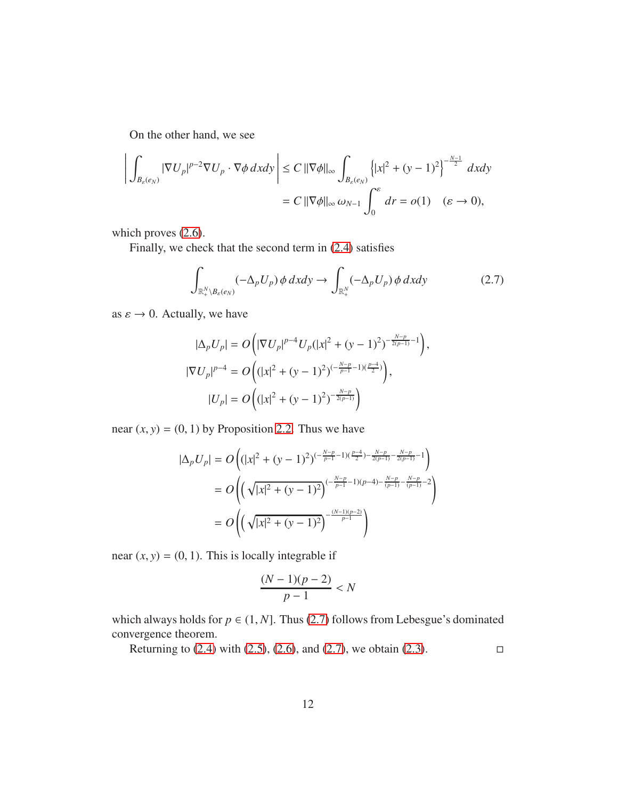On the other hand, we see

$$
\left| \int_{B_{\varepsilon}(e_N)} |\nabla U_p|^{p-2} \nabla U_p \cdot \nabla \phi \, dxdy \right| \le C \, ||\nabla \phi||_{\infty} \int_{B_{\varepsilon}(e_N)} \left\{ |x|^2 + (y-1)^2 \right\}^{-\frac{N-1}{2}} dxdy
$$
  
=  $C \, ||\nabla \phi||_{\infty} \, \omega_{N-1} \int_0^{\varepsilon} dr = o(1) \quad (\varepsilon \to 0),$ 

which proves  $(2.6)$ .

Finally, we check that the second term in [\(2.4\)](#page-10-2) satisfies

<span id="page-11-0"></span>
$$
\int_{\mathbb{R}^N_+\backslash B_{\varepsilon}(e_N)} (-\Delta_p U_p) \, \phi \, dxdy \to \int_{\mathbb{R}^N_+} (-\Delta_p U_p) \, \phi \, dxdy \tag{2.7}
$$

as  $\varepsilon \to 0$ . Actually, we have

$$
|\Delta_p U_p| = O\left(|\nabla U_p|^{p-4} U_p(|x|^2 + (y-1)^2)^{-\frac{N-p}{2(p-1)}-1}\right),
$$
  

$$
|\nabla U_p|^{p-4} = O\left((|x|^2 + (y-1)^2)^{(-\frac{N-p}{p-1}-1)(\frac{p-4}{2})}\right),
$$
  

$$
|U_p| = O\left((|x|^2 + (y-1)^2)^{-\frac{N-p}{2(p-1)}}\right)
$$

near  $(x, y) = (0, 1)$  by Proposition [2.2.](#page-6-1) Thus we have

$$
|\Delta_p U_p| = O\left((|x|^2 + (y-1)^2)^{(-\frac{N-p}{p-1}-1)(\frac{p-4}{2}) - \frac{N-p}{2(p-1)} - \frac{N-p}{2(p-1)} - 1}\right)
$$
  
= 
$$
O\left(\left(\sqrt{|x|^2 + (y-1)^2}\right)^{(-\frac{N-p}{p-1}-1)(p-4) - \frac{N-p}{(p-1)} - \frac{N-p}{(p-1)} - 2}\right)
$$
  
= 
$$
O\left(\left(\sqrt{|x|^2 + (y-1)^2}\right)^{-\frac{(N-1)(p-2)}{p-1}}\right)
$$

near  $(x, y) = (0, 1)$ . This is locally integrable if

$$
\frac{(N-1)(p-2)}{p-1} < N
$$

which always holds for  $p \in (1, N]$ . Thus [\(2.7\)](#page-11-0) follows from Lebesgue's dominated convergence theorem.

Returning to  $(2.4)$  with  $(2.5)$ ,  $(2.6)$ , and  $(2.7)$ , we obtain  $(2.3)$ .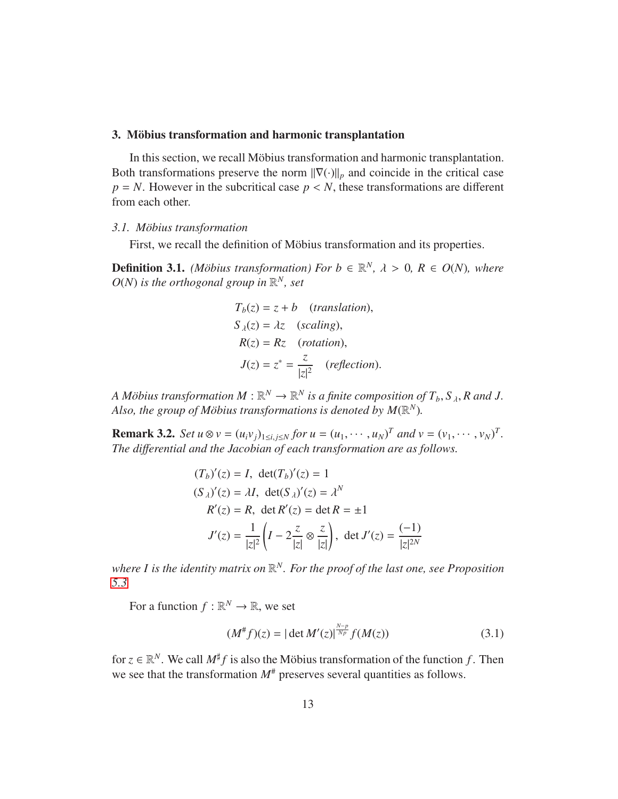#### <span id="page-12-0"></span>3. Möbius transformation and harmonic transplantation

In this section, we recall Möbius transformation and harmonic transplantation. Both transformations preserve the norm  $\|\nabla(\cdot)\|_p$  and coincide in the critical case  $p = N$ . However in the subcritical case  $p \lt N$ , these transformations are different from each other.

#### <span id="page-12-1"></span>*3.1. M¨obius transformation*

First, we recall the definition of Möbius transformation and its properties.

<span id="page-12-3"></span>**Definition 3.1.** *(Möbius transformation) For b*  $\in \mathbb{R}^N$ ,  $\lambda > 0$ ,  $R \in O(N)$ *, where*  $O(N)$  *is the orthogonal group in*  $\mathbb{R}^N$ *, set* 

$$
T_b(z) = z + b
$$
 (translation),  
\n
$$
S_{\lambda}(z) = \lambda z
$$
 (scaling),  
\n
$$
R(z) = Rz
$$
 (rotation),  
\n
$$
J(z) = z^* = \frac{z}{|z|^2}
$$
 (reflection).

*A Möbius transformation*  $M : \mathbb{R}^N \to \mathbb{R}^N$  is a finite composition of  $T_b$ ,  $S_A$ ,  $R$  and  $J$ . Also, the group of Möbius transformations is denoted by  $M(\mathbb{R}^N)$ .

<span id="page-12-2"></span>**Remark 3.2.** Set  $u \otimes v = (u_i v_j)_{1 \le i,j \le N}$  for  $u = (u_1, \dots, u_N)^T$  and  $v = (v_1, \dots, v_N)^T$ . *The di*ff*erential and the Jacobian of each transformation are as follows.*

$$
(T_b)'(z) = I, \det(T_b)'(z) = 1
$$
  
\n
$$
(S_{\lambda})'(z) = \lambda I, \det(S_{\lambda})'(z) = \lambda^N
$$
  
\n
$$
R'(z) = R, \det(R'(z)) = \det R = \pm 1
$$
  
\n
$$
J'(z) = \frac{1}{|z|^2} \left(I - 2\frac{z}{|z|} \otimes \frac{z}{|z|}\right), \det J'(z) = \frac{(-1)}{|z|^{2N}}
$$

where I is the identity matrix on  $\mathbb{R}^N$ . For the proof of the last one, see Proposition *[5.3.](#page-33-0)*

For a function  $f : \mathbb{R}^N \to \mathbb{R}$ , we set

$$
(M^# f)(z) = |\det M'(z)|^{\frac{N-p}{Np}} f(M(z)) \tag{3.1}
$$

for  $z \in \mathbb{R}^N$ . We call  $M^{\sharp}f$  is also the Möbius transformation of the function *f*. Then we see that the transformation  $M^*$  preserves several quantities as follows.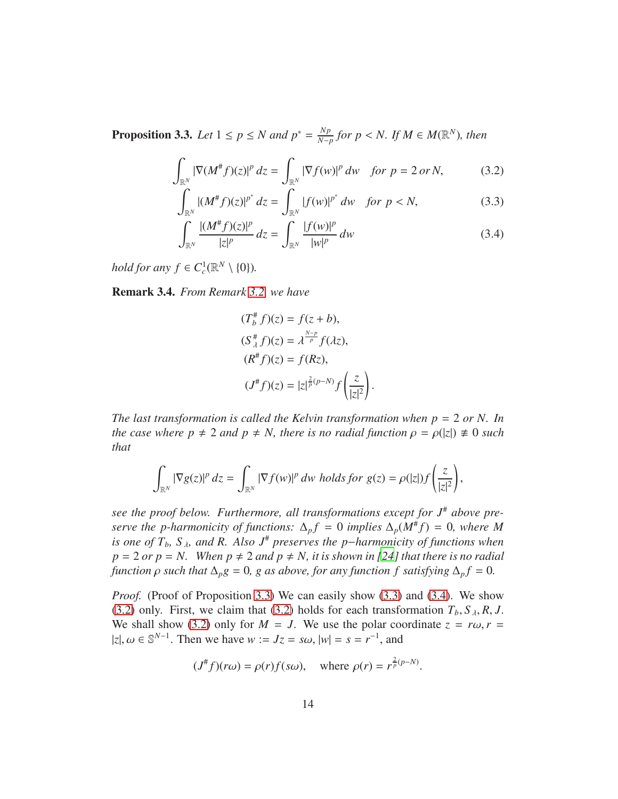<span id="page-13-0"></span>**Proposition 3.3.** *Let*  $1 \leq p \leq N$  *and*  $p^* = \frac{Np}{N-p}$ *N*<sup>*p*</sup><sub>*N*−*p*</sub> *for p* < *N. If M* ∈ *M*( $\mathbb{R}^N$ )*, then* 

$$
\int_{\mathbb{R}^N} |\nabla (M^{\#} f)(z)|^p dz = \int_{\mathbb{R}^N} |\nabla f(w)|^p dw \quad \text{for } p = 2 \text{ or } N,\tag{3.2}
$$

$$
\int_{\mathbb{R}^N} |(M^*f)(z)|^{p^*} dz = \int_{\mathbb{R}^N} |f(w)|^{p^*} dw \quad \text{for } p < N,\tag{3.3}
$$

$$
\int_{\mathbb{R}^N} \frac{| (M^{\#} f)(z)|^p}{|z|^p} dz = \int_{\mathbb{R}^N} \frac{|f(w)|^p}{|w|^p} dw \tag{3.4}
$$

*hold for any*  $f \in C_c^1(\mathbb{R}^N \setminus \{0\})$ *.* 

Remark 3.4. *From Remark [3.2,](#page-12-2) we have*

<span id="page-13-3"></span><span id="page-13-2"></span><span id="page-13-1"></span>
$$
(T_b^{\#} f)(z) = f(z + b),
$$
  
\n
$$
(S_{\lambda}^{\#} f)(z) = \lambda^{\frac{N-p}{p}} f(\lambda z),
$$
  
\n
$$
(R^{\#} f)(z) = f(Rz),
$$
  
\n
$$
(J^{\#} f)(z) = |z|^{\frac{2}{p}(p-N)} f\left(\frac{z}{|z|^2}\right).
$$

*The last transformation is called the Kelvin transformation when p* = 2 *or N. In the case where p*  $\neq$  2 *and p*  $\neq$  *N, there is no radial function*  $\rho = \rho(|z|) \neq 0$  *such that*

$$
\int_{\mathbb{R}^N} |\nabla g(z)|^p dz = \int_{\mathbb{R}^N} |\nabla f(w)|^p dw \ holds \text{for } g(z) = \rho(|z|) f\left(\frac{z}{|z|^2}\right),
$$

*see the proof below. Furthermore, all transformations except for J*# *above preserve the p-harmonicity of functions:*  $\Delta_p f = 0$  *implies*  $\Delta_p(M^*f) = 0$ *, where* M *is one of*  $T_b$ ,  $S_\lambda$ , and R. Also  $J^{\#}$  preserves the p−*harmonicity of functions when*  $p = 2$  *or*  $p = N$ . When  $p \neq 2$  *and*  $p \neq N$ *, it is shown in* [\[24](#page-40-1)] that there is no radial *function*  $\rho$  *such that*  $\Delta_p g = 0$ *, g as above, for any function f satisfying*  $\Delta_p f = 0$ *.* 

*Proof.* (Proof of Proposition [3.3\)](#page-13-0) We can easily show [\(3.3\)](#page-13-1) and [\(3.4\)](#page-13-2). We show [\(3.2\)](#page-13-3) only. First, we claim that [\(3.2\)](#page-13-3) holds for each transformation  $T_b$ ,  $S_\lambda$ ,  $R$ ,  $J$ . We shall show [\(3.2\)](#page-13-3) only for  $M = J$ . We use the polar coordinate  $z = r\omega$ ,  $r =$  $|z|, \omega \in \mathbb{S}^{N-1}$ . Then we have  $w := Jz = s\omega$ ,  $|w| = s = r^{-1}$ , and

$$
(J^{\#}f)(r\omega) = \rho(r)f(s\omega)
$$
, where  $\rho(r) = r^{\frac{2}{p}(p-N)}$ .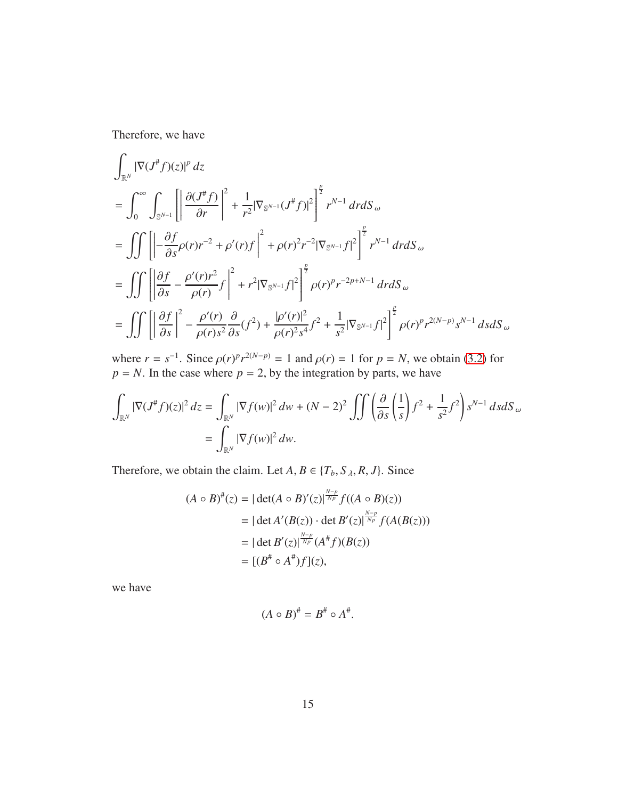Therefore, we have

$$
\int_{\mathbb{R}^N} |\nabla (J^{\#}f)(z)|^p dz
$$
\n
$$
= \int_0^{\infty} \int_{\mathbb{S}^{N-1}} \left[ \left| \frac{\partial (J^{\#}f)}{\partial r} \right|^2 + \frac{1}{r^2} |\nabla_{\mathbb{S}^{N-1}} (J^{\#}f)|^2 \right]^{\frac{p}{2}} r^{N-1} dr dS_{\omega}
$$
\n
$$
= \iiint \left[ -\frac{\partial f}{\partial s} \rho(r) r^{-2} + \rho'(r) f \right]^2 + \rho(r)^2 r^{-2} |\nabla_{\mathbb{S}^{N-1}} f|^2 \right]^{\frac{p}{2}} r^{N-1} dr dS_{\omega}
$$
\n
$$
= \iiint \left[ \left| \frac{\partial f}{\partial s} - \frac{\rho'(r) r^2}{\rho(r)} f \right|^2 + r^2 |\nabla_{\mathbb{S}^{N-1}} f|^2 \right]^{\frac{p}{2}} \rho(r)^p r^{-2p+N-1} dr dS_{\omega}
$$
\n
$$
= \iiint \left[ \left| \frac{\partial f}{\partial s} \right|^2 - \frac{\rho'(r)}{\rho(r) s^2} \frac{\partial}{\partial s} (f^2) + \frac{|\rho'(r)|^2}{\rho(r)^2 s^4} f^2 + \frac{1}{s^2} |\nabla_{\mathbb{S}^{N-1}} f|^2 \right]^{\frac{p}{2}} \rho(r)^p r^{2(N-p)} s^{N-1} ds dS_{\omega}
$$

where  $r = s^{-1}$ . Since  $\rho(r)^p r^{2(N-p)} = 1$  and  $\rho(r) = 1$  for  $p = N$ , we obtain [\(3.2\)](#page-13-3) for  $p = N$ . In the case where  $p = 2$ , by the integration by parts, we have

$$
\int_{\mathbb{R}^N} |\nabla (J^* f)(z)|^2 dz = \int_{\mathbb{R}^N} |\nabla f(w)|^2 dw + (N - 2)^2 \iint \left( \frac{\partial}{\partial s} \left( \frac{1}{s} \right) f^2 + \frac{1}{s^2} f^2 \right) s^{N-1} ds dS_\omega
$$
  
= 
$$
\int_{\mathbb{R}^N} |\nabla f(w)|^2 dw.
$$

Therefore, we obtain the claim. Let  $A, B \in \{T_b, S_\lambda, R, J\}$ . Since

$$
(A \circ B)^{\#}(z) = |\det(A \circ B)'(z)|^{\frac{N-p}{Np}} f((A \circ B)(z))
$$
  
= |\det A'(B(z)) \cdot \det B'(z)|^{\frac{N-p}{Np}} f(A(B(z)))  
= |\det B'(z)|^{\frac{N-p}{Np}} (A^{\#} f)(B(z))  
= [(B^{\#} \circ A^{\#})f](z),

we have

$$
(A \circ B)^{\#} = B^{\#} \circ A^{\#}.
$$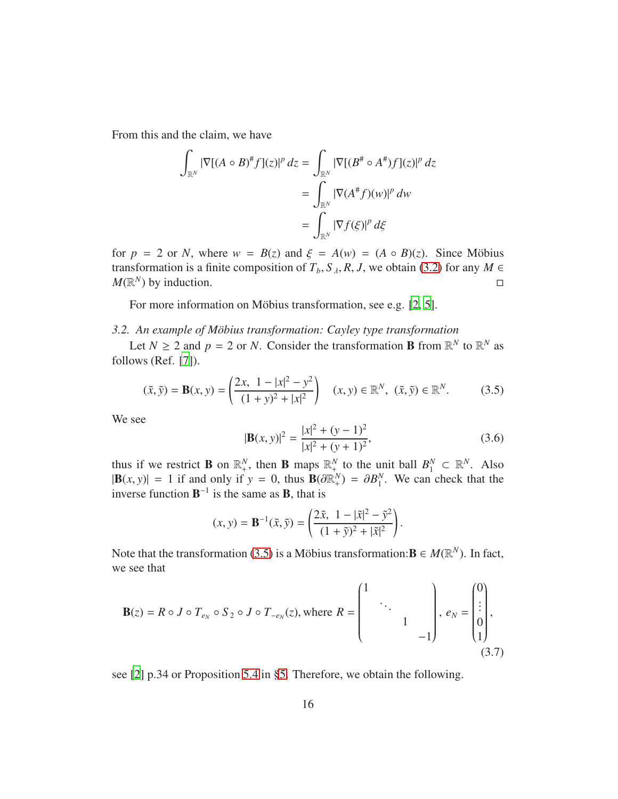From this and the claim, we have

$$
\int_{\mathbb{R}^N} |\nabla[(A \circ B)^{\#} f](z)|^p dz = \int_{\mathbb{R}^N} |\nabla[(B^{\#} \circ A^{\#}) f](z)|^p dz
$$

$$
= \int_{\mathbb{R}^N} |\nabla(A^{\#} f)(w)|^p dw
$$

$$
= \int_{\mathbb{R}^N} |\nabla f(\xi)|^p d\xi
$$

for  $p = 2$  or *N*, where  $w = B(z)$  and  $\xi = A(w) = (A \circ B)(z)$ . Since Möbius transformation is a finite composition of  $T_b$ ,  $S_\lambda$ ,  $R$ ,  $J$ , we obtain [\(3.2\)](#page-13-3) for any  $M \in M(\mathbb{R}^N)$  by induction.  $M(\mathbb{R}^N)$  by induction.

For more information on Möbius transformation, see e.g.  $[2, 5]$  $[2, 5]$ .

### <span id="page-15-0"></span>*3.2. An example of M¨obius transformation: Cayley type transformation*

Let  $N \ge 2$  and  $p = 2$  or *N*. Consider the transformation **B** from  $\mathbb{R}^N$  to  $\mathbb{R}^N$  as follows (Ref. [\[7](#page-38-5)]).

$$
(\tilde{x}, \tilde{y}) = \mathbf{B}(x, y) = \left(\frac{2x, 1 - |x|^2 - y^2}{(1 + y)^2 + |x|^2}\right) \quad (x, y) \in \mathbb{R}^N, \quad (\tilde{x}, \tilde{y}) \in \mathbb{R}^N. \tag{3.5}
$$

We see

<span id="page-15-3"></span><span id="page-15-1"></span>
$$
|\mathbf{B}(x, y)|^2 = \frac{|x|^2 + (y - 1)^2}{|x|^2 + (y + 1)^2},
$$
\n(3.6)

thus if we restrict **B** on  $\mathbb{R}^N_+$ , then **B** maps  $\mathbb{R}^N_+$  to the unit ball  $B_1^N$  $\frac{N}{1}$  ⊂  $\mathbb{R}^N$ . Also  $|\mathbf{B}(x, y)| = 1$  if and only if  $y = 0$ , thus  $\mathbf{B}(\partial \mathbb{R}^N_+) = \partial B_1^N$  $\frac{N}{1}$ . We can check that the inverse function  $B^{-1}$  is the same as **B**, that is

<span id="page-15-2"></span>
$$
(x, y) = \mathbf{B}^{-1}(\tilde{x}, \tilde{y}) = \left(\frac{2\tilde{x}, 1 - |\tilde{x}|^2 - \tilde{y}^2}{(1 + \tilde{y})^2 + |\tilde{x}|^2}\right).
$$

Note that the transformation [\(3.5\)](#page-15-1) is a Möbius transformation:  $\mathbf{B} \in M(\mathbb{R}^N)$ . In fact, we see that

$$
\mathbf{B}(z) = R \circ J \circ T_{e_N} \circ S_2 \circ J \circ T_{-e_N}(z), \text{ where } R = \begin{pmatrix} 1 & & & \\ & \ddots & & \\ & & 1 & \\ & & & -1 \end{pmatrix}, e_N = \begin{pmatrix} 0 \\ \vdots \\ 0 \\ 1 \end{pmatrix}, \tag{3.7}
$$

see [\[2](#page-38-3)] p.34 or Proposition [5.4](#page-34-0) in [§5.](#page-32-0) Therefore, we obtain the following.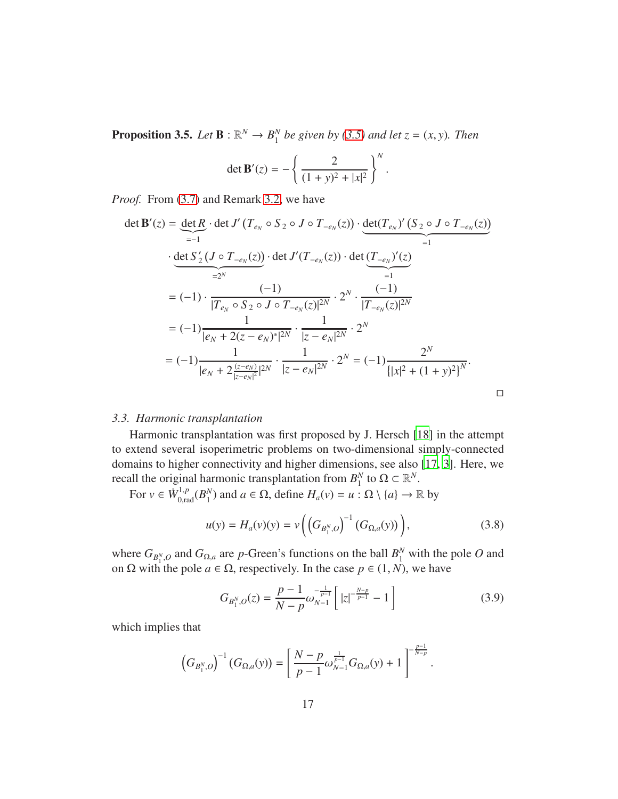**Proposition 3.5.** *Let*  $\mathbf{B} : \mathbb{R}^N \to B_1^N$  $^{N}_{1}$  *be given by* [\(3.5\)](#page-15-1) *and let*  $z = (x, y)$ *. Then* 

$$
\det \mathbf{B}'(z) = -\left\{ \frac{2}{(1+y)^2 + |x|^2} \right\}^N.
$$

*Proof.* From [\(3.7\)](#page-15-2) and Remark [3.2,](#page-12-2) we have

$$
\det \mathbf{B}'(z) = \underbrace{\det R}_{=-1} \cdot \det J'(T_{e_N} \circ S_2 \circ J \circ T_{-e_N}(z)) \cdot \underbrace{\det(T_{e_N})'(S_2 \circ J \circ T_{-e_N}(z))}_{=1}
$$
\n
$$
\cdot \underbrace{\det S'_2(J \circ T_{-e_N}(z))}_{=2^N} \cdot \det J'(T_{-e_N}(z)) \cdot \det \underbrace{(T_{-e_N})'(z)}_{=1}
$$
\n
$$
= (-1) \cdot \frac{(-1)}{|T_{e_N} \circ S_2 \circ J \circ T_{-e_N}(z)|^{2N}} \cdot 2^N \cdot \frac{(-1)}{|T_{-e_N}(z)|^{2N}}
$$
\n
$$
= (-1) \frac{1}{|e_N + 2(z - e_N)|^{2N}} \cdot \frac{1}{|z - e_N|^{2N}} \cdot 2^N
$$
\n
$$
= (-1) \frac{1}{|e_N + 2\frac{(z - e_N)}{|z - e_N|^2}|^{2N}} \cdot \frac{1}{|z - e_N|^{2N}} \cdot 2^N = (-1) \frac{2^N}{\{|x|^2 + (1 + y)^2\}^N}.
$$

## <span id="page-16-0"></span>*3.3. Harmonic transplantation*

Harmonic transplantation was first proposed by J. Hersch [\[18](#page-39-5)] in the attempt to extend several isoperimetric problems on two-dimensional simply-connected domains to higher connectivity and higher dimensions, see also [17, [3](#page-38-6)]. Here, we recall the original harmonic transplantation from  $B_1^N$  $_{1}^{N}$  to  $\Omega \subset \mathbb{R}^{N}$ .

For  $v \in \dot{W}_{0,\text{rad}}^{1,p}(B_1^N)$  $\binom{N}{1}$  and  $a \in \Omega$ , define  $H_a(v) = u : \Omega \setminus \{a\} \to \mathbb{R}$  by

$$
u(y) = H_a(v)(y) = v\left(\left(G_{B_1^N,O}\right)^{-1}(G_{\Omega,a}(y))\right),\tag{3.8}
$$

where  $G_{B_1^N, O}$  and  $G_{\Omega, a}$  are *p*-Green's functions on the ball  $B_1^N$  with the pole *O* and on  $\Omega$  with the pole  $a \in \Omega$ , respectively. In the case  $p \in (1, N)$ , we have

<span id="page-16-1"></span>
$$
G_{B_1^N,0}(z) = \frac{p-1}{N-p} \omega_{N-1}^{-\frac{1}{p-1}} \left[ |z|^{-\frac{N-p}{p-1}} - 1 \right]
$$
 (3.9)

which implies that

$$
\left(G_{B_1^N,O}\right)^{-1}\left(G_{\Omega,a}(y)\right)=\left[\frac{N-p}{p-1}\omega_{N-1}^{\frac{1}{p-1}}G_{\Omega,a}(y)+1\right]^{-\frac{p-1}{N-p}}.
$$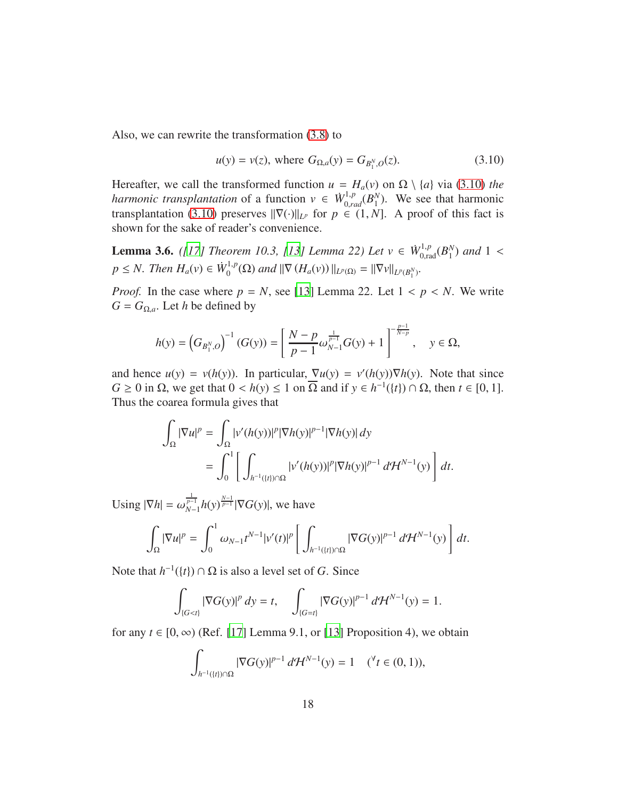Also, we can rewrite the transformation [\(3.8\)](#page-16-1) to

<span id="page-17-0"></span>
$$
u(y) = v(z)
$$
, where  $G_{\Omega,a}(y) = G_{B_1^N, O}(z)$ . (3.10)

Hereafter, we call the transformed function  $u = H_a(v)$  on  $\Omega \setminus \{a\}$  via [\(3.10\)](#page-17-0) *the harmonic transplantation* of a function  $v \in W_{0,rad}^{1,p}(B_1^N)$  $_1^N$ ). We see that harmonic transplantation [\(3.10\)](#page-17-0) preserves  $\|\nabla(\cdot)\|_{L^p}$  for  $p \in (1, N]$ . A proof of this fact is shown for the sake of reader's convenience.

<span id="page-17-1"></span>**Lemma 3.6.** *([17] Theorem 10.3, [\[13](#page-39-6)] Lemma 22) Let*  $v \in W_{0,\text{rad}}^{1,p}(B_1^N)$  $_1^N$ ) and 1 <  $p \leq N$ *. Then*  $H_a(v) \in \dot{W}_0^{1,p}$  $\int_0^{1,p}(\Omega) \text{ and } ||\nabla (H_a(v))||_{L^p(\Omega)} = ||\nabla v||_{L^p(B_1^N)}.$ 

*Proof.* In the case where  $p = N$ , see [\[13](#page-39-6)] Lemma 22. Let  $1 < p < N$ . We write  $G = G_{\Omega, a}$ . Let *h* be defined by

$$
h(y) = \left(G_{B_1^N, O}\right)^{-1}(G(y)) = \left[\frac{N-p}{p-1}\omega_{N-1}^{\frac{1}{p-1}}G(y) + 1\right]^{-\frac{p-1}{N-p}}, \quad y \in \Omega,
$$

and hence  $u(y) = v(h(y))$ . In particular,  $\nabla u(y) = v'(h(y))\nabla h(y)$ . Note that since  $G \ge 0$  in  $\Omega$ , we get that  $0 < h(y) \le 1$  on  $\overline{\Omega}$  and if  $y \in h^{-1}(\{t\}) \cap \Omega$ , then  $t \in [0, 1]$ . Thus the coarea formula gives that

$$
\int_{\Omega} |\nabla u|^p = \int_{\Omega} |v'(h(y))|^p |\nabla h(y)|^{p-1} |\nabla h(y)| dy
$$
  
= 
$$
\int_0^1 \left[ \int_{h^{-1}(\{t\}) \cap \Omega} |v'(h(y))|^p |\nabla h(y)|^{p-1} d\mathcal{H}^{N-1}(y) \right] dt.
$$

Using  $|\nabla h| = \omega_{N-1}^{\frac{1}{p-1}} h(y)^{\frac{N-1}{p-1}} |\nabla G(y)|$ , we have

$$
\int_{\Omega} |\nabla u|^p = \int_0^1 \omega_{N-1} t^{N-1} |\nu'(t)|^p \left[ \int_{h^{-1}(\{t\}) \cap \Omega} |\nabla G(y)|^{p-1} d\mathcal{H}^{N-1}(y) \right] dt.
$$

Note that  $h^{-1}(\{t\}) \cap \Omega$  is also a level set of *G*. Since

$$
\int_{\{G < t\}} |\nabla G(y)|^p \, dy = t, \quad \int_{\{G = t\}} |\nabla G(y)|^{p-1} \, d\mathcal{H}^{N-1}(y) = 1.
$$

for any  $t \in [0, \infty)$  (Ref. [17] Lemma 9.1, or [\[13\]](#page-39-6) Proposition 4), we obtain

$$
\int_{h^{-1}(\{t\}) \cap \Omega} |\nabla G(y)|^{p-1} d\mathcal{H}^{N-1}(y) = 1 \quad ({}^{\forall} t \in (0,1)),
$$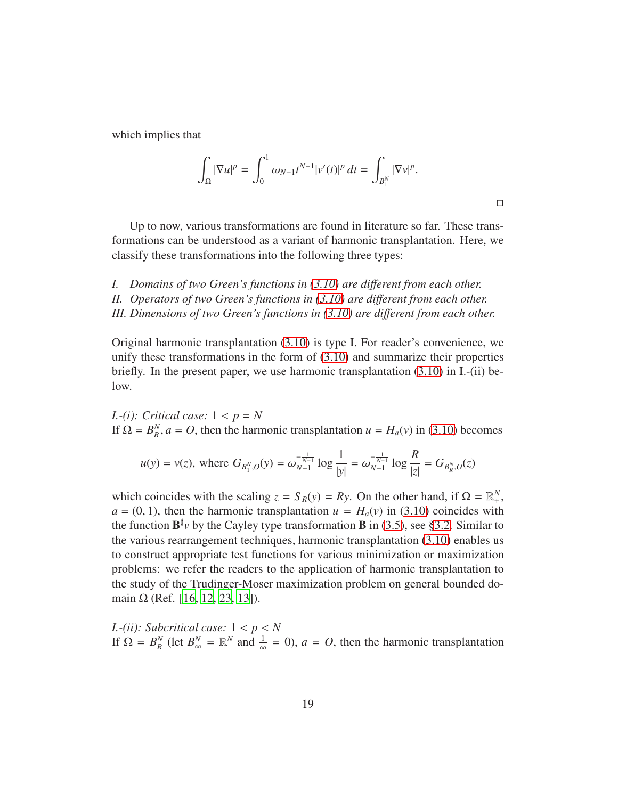which implies that

$$
\int_{\Omega} |\nabla u|^p = \int_0^1 \omega_{N-1} t^{N-1} |v'(t)|^p dt = \int_{B_1^N} |\nabla v|^p.
$$

 $\Box$ 

Up to now, various transformations are found in literature so far. These transformations can be understood as a variant of harmonic transplantation. Here, we classify these transformations into the following three types:

*I. Domains of two Green's functions in [\(3.10\)](#page-17-0) are di*ff*erent from each other. II. Operators of two Green's functions in [\(3.10\)](#page-17-0) are di*ff*erent from each other.*

*III. Dimensions of two Green's functions in [\(3.10\)](#page-17-0) are di*ff*erent from each other.*

Original harmonic transplantation [\(3.10\)](#page-17-0) is type I. For reader's convenience, we unify these transformations in the form of [\(3.10\)](#page-17-0) and summarize their properties briefly. In the present paper, we use harmonic transplantation [\(3.10\)](#page-17-0) in I.-(ii) below.

*I.-(i): Critical case:* 1 < *p* = *N* If  $\Omega = B^N_R$  $R_R^N$ ,  $a = O$ , then the harmonic transplantation  $u = H_a(v)$  in [\(3.10\)](#page-17-0) becomes

$$
u(y) = v(z)
$$
, where  $G_{B_1^N, O}(y) = \omega_{N-1}^{-\frac{1}{N-1}} \log \frac{1}{|y|} = \omega_{N-1}^{-\frac{1}{N-1}} \log \frac{R}{|z|} = G_{B_R^N, O}(z)$ 

which coincides with the scaling  $z = S_R(y) = Ry$ . On the other hand, if  $\Omega = \mathbb{R}^N_+$ ,  $a = (0, 1)$ , then the harmonic transplantation  $u = H_a(v)$  in [\(3.10\)](#page-17-0) coincides with the function  $\mathbf{B}^{\sharp}v$  by the Cayley type transformation **B** in [\(3.5\)](#page-15-1), see [§3.2.](#page-15-0) Similar to the various rearrangement techniques, harmonic transplantation [\(3.10\)](#page-17-0) enables us to construct appropriate test functions for various minimization or maximization problems: we refer the readers to the application of harmonic transplantation to the study of the Trudinger-Moser maximization problem on general bounded domain  $Ω$  (Ref. [\[16,](#page-39-7) [12](#page-39-8), [23](#page-40-2), [13](#page-39-6)]).

*I.-(ii): Subcritical case:* 1 < *p* < *N* If  $\Omega = B^N_R$ *R*<sup>*N*</sup> (let  $B_{\infty}^N = \mathbb{R}^N$  and  $\frac{1}{\infty} = 0$ ),  $a = O$ , then the harmonic transplantation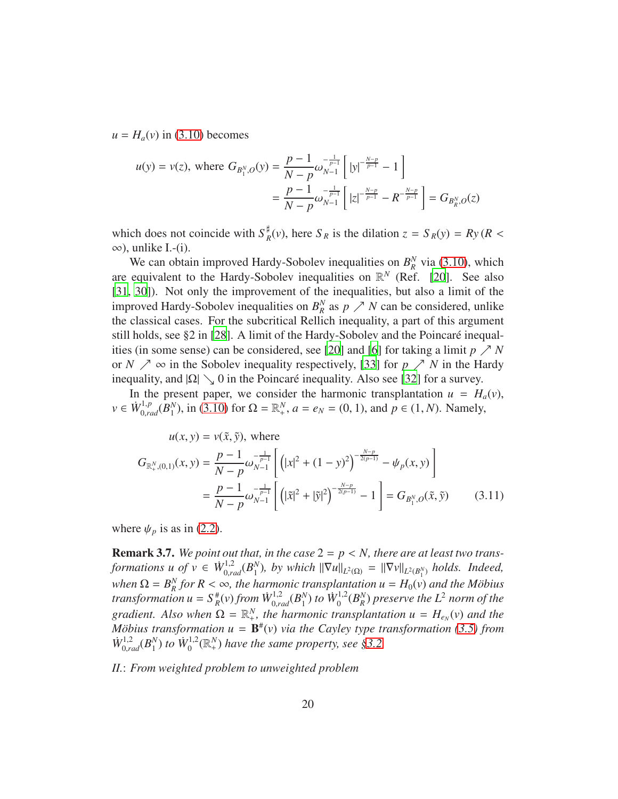$u = H_a(v)$  in [\(3.10\)](#page-17-0) becomes

$$
u(y) = v(z), \text{ where } G_{B_1^N, O}(y) = \frac{p-1}{N-p} \omega_{N-1}^{-\frac{1}{p-1}} \left[ |y|^{-\frac{N-p}{p-1}} - 1 \right]
$$
  
=  $\frac{p-1}{N-p} \omega_{N-1}^{-\frac{1}{p-1}} \left[ |z|^{-\frac{N-p}{p-1}} - R^{-\frac{N-p}{p-1}} \right] = G_{B_R^N, O}(z)$ 

which does not coincide with  $S_{\mu}^{\sharp}$  $R_R^{\sharp}$ (*v*), here *S*<sub>*R*</sub> is the dilation  $z = S_R(y) = Ry(R <$  $\infty$ ), unlike I.-(i).

We can obtain improved Hardy-Sobolev inequalities on  $B_R^N$  $\frac{N}{R}$  via [\(3.10\)](#page-17-0), which are equivalent to the Hardy-Sobolev inequalities on  $\mathbb{R}^N$  (Ref. [\[20\]](#page-39-1). See also [31, 30]). Not only the improvement of the inequalities, but also a limit of the improved Hardy-Sobolev inequalities on  $B_R^N$  as  $p \nearrow N$  can be considered, unlike the classical cases. For the subcritical Rellich inequality, a part of this argument still holds, see  $\S 2$  in [28]. A limit of the Hardy-Sobolev and the Poincaré inequal-ities (in some sense) can be considered, see [\[20](#page-39-1)] and [\[6](#page-38-7)] for taking a limit  $p \nearrow N$ or *N*  $\nearrow \infty$  in the Sobolev inequality respectively, [\[33\]](#page-40-3) for *p*  $\nearrow N$  in the Hardy inequality, and  $|\Omega| \searrow 0$  in the Poincaré inequality. Also see [32] for a survey.

In the present paper, we consider the harmonic transplantation  $u = H_a(v)$ ,  $v \in \dot{W}_{0,rad}^{1,p}(\overline{B_1^N})$  $\binom{N}{1}$ , in [\(3.10\)](#page-17-0) for  $\Omega = \mathbb{R}^N_+$ ,  $a = e_N = (0, 1)$ , and  $p \in (1, N)$ . Namely,

<span id="page-19-0"></span>
$$
u(x, y) = v(\tilde{x}, \tilde{y}), \text{ where}
$$
  
\n
$$
G_{\mathbb{R}^N_+(0,1)}(x, y) = \frac{p-1}{N-p} \omega_{N-1}^{-\frac{1}{p-1}} \left[ \left( |x|^2 + (1-y)^2 \right)^{-\frac{N-p}{2(p-1)}} - \psi_p(x, y) \right]
$$
  
\n
$$
= \frac{p-1}{N-p} \omega_{N-1}^{-\frac{1}{p-1}} \left[ \left( |\tilde{x}|^2 + |\tilde{y}|^2 \right)^{-\frac{N-p}{2(p-1)}} - 1 \right] = G_{B_1^N, O}(\tilde{x}, \tilde{y}) \qquad (3.11)
$$

where  $\psi_p$  is as in [\(2.2\)](#page-5-2).

**Remark 3.7.** We point out that, in the case  $2 = p \lt N$ , there are at least two trans*formations u of*  $v \in \dot{W}_{0,rad}^{1,2}(B_1^N)$ *N*<sub>1</sub>), *by which*  $\|\nabla u\|_{L^2(\Omega)} = \|\nabla v\|_{L^2(B_1^N)}$  *holds. Indeed,* when  $\Omega = B_R^N$  for  $R < \infty$ , the harmonic transplantation  $u = H_0(v)$  and the Möbius *transformation*  $u = S_R^{\#}(v)$  *from*  $\dot{W}_{0,rad}^{1,2}(B_1^N)$  $_{1}^{N}$ ) to  $\dot{W}_{0}^{1,2}$  $\int_{0}^{1,2}(B^{N}_{R})$ *R* ) *preserve the L*<sup>2</sup> *norm of the gradient.* Also when  $\Omega = \mathbb{R}^N_+$ , the harmonic transplantation  $u = H_{e_N}(v)$  and the *M* $\ddot{\theta}$ *bius transformation*  $u = \mathbf{B}^{\#}(v)$  *via the Cayley type transformation* [\(3.5\)](#page-15-1) *from*  $\dot{W}_{0,rad}^{1,2}(B_1^N)$  $_{1}^{N}$ ) to  $\dot{W}_{0}^{1,2}$  $\mathbb{R}^{0,1,2}_0(\mathbb{R}^N_+)$  have the same property, see [§3.2.](#page-15-0)

*II.*: *From weighted problem to unweighted problem*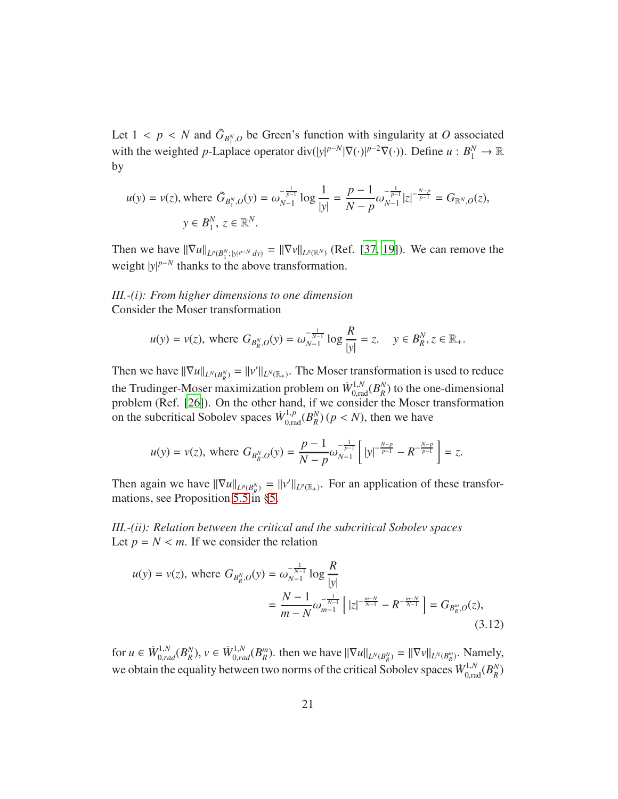Let  $1 < p < N$  and  $\tilde{G}_{B_1^N,O}$  be Green's function with singularity at *O* associated with the weighted *p*-Laplace operator div( $|y|^{p-N}|\nabla(\cdot)|^{p-2}\nabla(\cdot)$ ). Define  $u : B_1^N \to \mathbb{R}$ by

$$
u(y) = v(z), \text{ where } \tilde{G}_{B_1^N, O}(y) = \omega_{N-1}^{-\frac{1}{p-1}} \log \frac{1}{|y|} = \frac{p-1}{N-p} \omega_{N-1}^{-\frac{1}{p-1}} |z|^{-\frac{N-p}{p-1}} = G_{\mathbb{R}^N, O}(z),
$$
  

$$
y \in B_1^N, z \in \mathbb{R}^N.
$$

Then we have  $\|\nabla u\|_{L^p(B_1^N; \, |y|^{p-N} \, dy)} = \|\nabla v\|_{L^p(\mathbb{R}^N)}$  (Ref. [\[37,](#page-41-0) [19](#page-39-9)]). We can remove the weight  $|y|^{p-N}$  thanks to the above transformation.

*III.-(i): From higher dimensions to one dimension* Consider the Moser transformation

$$
u(y) = v(z)
$$
, where  $G_{B_R^N, O}(y) = \omega_{N-1}^{-\frac{1}{N-1}} \log \frac{R}{|y|} = z$ .  $y \in B_R^N, z \in \mathbb{R}_+$ .

Then we have  $\|\nabla u\|_{L^N(B_R^N)} = \|v'\|_{L^N(\mathbb{R}_+)}$ . The Moser transformation is used to reduce the Trudinger-Moser maximization problem on  $\dot{W}_{0,\text{rad}}^{1,N}(B_R^N)$  $\binom{N}{R}$  to the one-dimensional problem (Ref. [\[26](#page-40-4)]). On the other hand, if we consider the Moser transformation on the subcritical Sobolev spaces  $\dot{W}_{0,\text{rad}}^{1,p}(B_R^N)$  $_{R}^{N}$  $(p < N)$ , then we have

$$
u(y) = v(z)
$$
, where  $G_{B_R^N, O}(y) = \frac{p-1}{N-p} \omega_{N-1}^{-\frac{1}{p-1}} \left[ |y|^{-\frac{N-p}{p-1}} - R^{-\frac{N-p}{p-1}} \right] = z$ .

Then again we have  $\|\nabla u\|_{L^p(B_R^N)} = \|v'\|_{L^p(\mathbb{R}_+)}$ . For an application of these transformations, see Proposition [5.5](#page-37-0) in [§5.](#page-32-0)

*III.-(ii): Relation between the critical and the subcritical Sobolev spaces* Let  $p = N < m$ . If we consider the relation

<span id="page-20-0"></span>
$$
u(y) = v(z), \text{ where } G_{B_R^N, O}(y) = \omega_{N-1}^{-\frac{1}{N-1}} \log \frac{R}{|y|}
$$
  
= 
$$
\frac{N-1}{m-N} \omega_{m-1}^{-\frac{1}{N-1}} \left[ |z|^{-\frac{m-N}{N-1}} - R^{-\frac{m-N}{N-1}} \right] = G_{B_R^m, O}(z),
$$
(3.12)

for  $u \in \dot{W}_{0,rad}^{1,N}(B_R^N)$  $_{R}^{N}$ ),  $v \in \dot{W}_{0,rad}^{1,N}(B_{R}^{m})$ . then we have  $\|\nabla u\|_{L^{N}(B_{R}^{N})} = \|\nabla v\|_{L^{N}(B_{R}^{m})}$ . Namely, we obtain the equality between two norms of the critical Sobolev spaces  $\dot{W}_{0,\text{rad}}^{1,N}(B_R^N)$ *R* )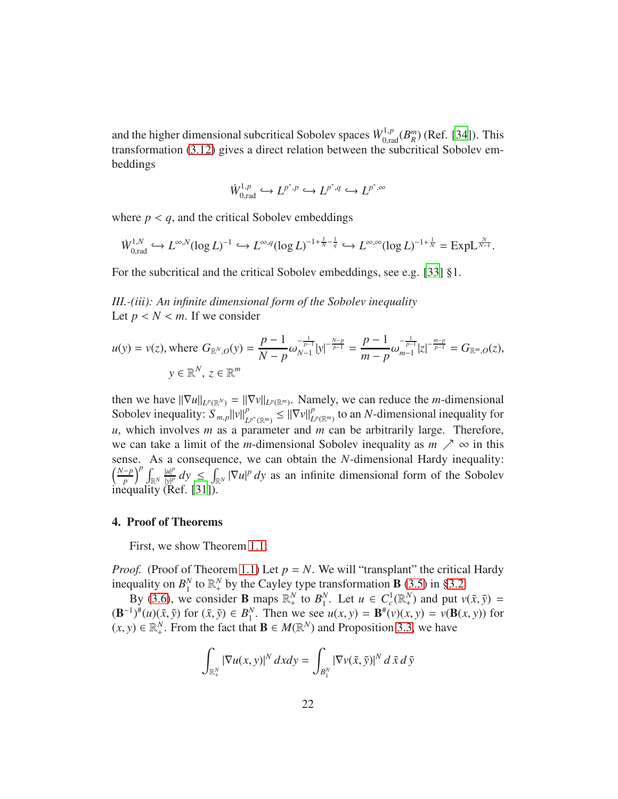and the higher dimensional subcritical Sobolev spaces  $\dot{W}_{0,\text{rad}}^{1,p}(B_R^m)$  (Ref. [\[34\]](#page-40-5)). This transformation [\(3.12\)](#page-20-0) gives a direct relation between the subcritical Sobolev embeddings

$$
\dot{W}_{0,\text{rad}}^{1,p} \hookrightarrow L^{p^*,p} \hookrightarrow L^{p^*,q} \hookrightarrow L^{p^*,\infty}
$$

where  $p < q$ , and the critical Sobolev embeddings

$$
\dot{W}_{0,\text{rad}}^{1,N} \hookrightarrow L^{\infty,N}(\log L)^{-1} \hookrightarrow L^{\infty,q}(\log L)^{-1+\frac{1}{N}-\frac{1}{q}} \hookrightarrow L^{\infty,\infty}(\log L)^{-1+\frac{1}{N}} = \text{ExpL}_{N-1}^{\frac{N}{N-1}}.
$$

For the subcritical and the critical Sobolev embeddings, see e.g. [\[33](#page-40-3)] §1.

*III.-(iii): An infinite dimensional form of the Sobolev inequality* Let  $p < N < m$ . If we consider

$$
u(y) = v(z), \text{ where } G_{\mathbb{R}^N, O}(y) = \frac{p-1}{N-p} \omega_{N-1}^{-\frac{1}{p-1}} |y|^{-\frac{N-p}{p-1}} = \frac{p-1}{m-p} \omega_{m-1}^{-\frac{1}{p-1}} |z|^{-\frac{m-p}{p-1}} = G_{\mathbb{R}^m, O}(z),
$$
  

$$
y \in \mathbb{R}^N, z \in \mathbb{R}^m
$$

then we have  $\|\nabla u\|_{L^p(\mathbb{R}^N)} = \|\nabla v\|_{L^p(\mathbb{R}^m)}$ . Namely, we can reduce the *m*-dimensional Sobolev inequality:  $S_{m,p} ||v||_L^p$  $\left| \sum_{L^{p^*}(\mathbb{R}^m)}^p \right| \leq \left| \left| \nabla v \right| \right|_L^p$  $P_{L^p(\mathbb{R}^m)}$  to an *N*-dimensional inequality for *u*, which involves *m* as a parameter and *m* can be arbitrarily large. Therefore, we can take a limit of the *m*-dimensional Sobolev inequality as  $m \nearrow \infty$  in this sense. As a consequence, we can obtain the *N*-dimensional Hardy inequality:  $\left(\frac{N-p}{p}\right)^p \int_{\mathbb{R}^N} \frac{|u|^p}{|y|^p}$  $\frac{|u|^p}{|y|^p} dy \le \int_{\mathbb{R}^N} |\nabla u|^p dy$  as an infinite dimensional form of the Sobolev inequality (Ref. [31]).

## <span id="page-21-0"></span>4. Proof of Theorems

First, we show Theorem [1.1.](#page-1-4)

*Proof.* (Proof of Theorem [1.1\)](#page-1-4) Let  $p = N$ . We will "transplant" the critical Hardy inequality on  $B_1^N$  $_1^N$  to  $\mathbb{R}_+^N$  by the Cayley type transformation **B** [\(3.5\)](#page-15-1) in [§3.2.](#page-15-0)

By [\(3.6\)](#page-15-3), we consider **B** maps  $\mathbb{R}^N_+$  to  $B_1^N$ <sup>*N*</sup>. Let  $u \in C_c^1(\mathbb{R}^N_+)$  and put  $v(\tilde{x}, \tilde{y}) =$  $(\mathbf{B}^{-1})^{\#}(u)(\tilde{x}, \tilde{y})$  for  $(\tilde{x}, \tilde{y}) \in B_1^N$ <sup>*N*</sup>. Then we see  $u(x, y) = \mathbf{B}^{\#}(v)(x, y) = v(\mathbf{B}(x, y))$  for  $(x, y) \in \mathbb{R}^N_+$ . From the fact that  $\mathbf{B} \in M(\mathbb{R}^N)$  and Proposition [3.3,](#page-13-0) we have

$$
\int_{\mathbb{R}_+^N} \left| \nabla u(x, y) \right|^N dxdy = \int_{B_1^N} \left| \nabla v(\tilde{x}, \tilde{y}) \right|^N d\tilde{x} d\tilde{y}
$$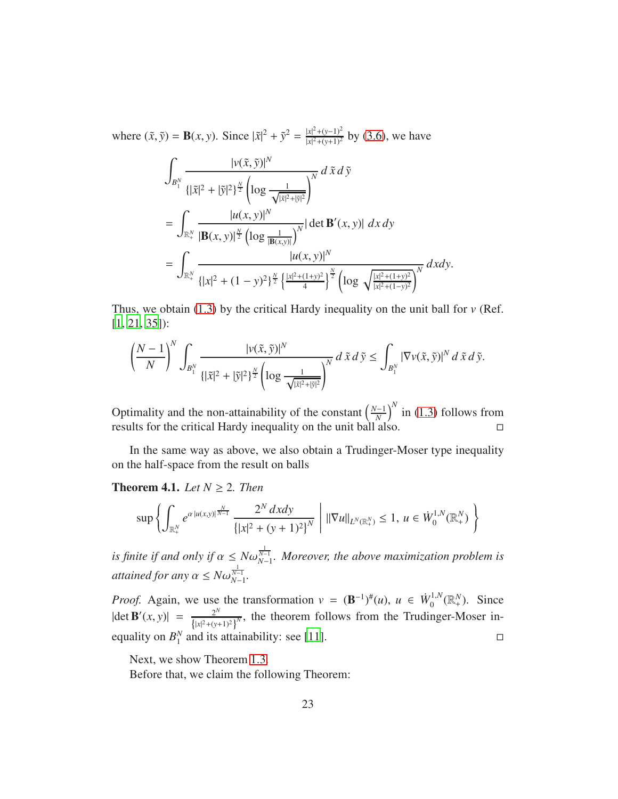where  $(\tilde{x}, \tilde{y}) = \mathbf{B}(x, y)$ . Since  $|\tilde{x}|^2 + \tilde{y}^2 = \frac{|x|^2 + (y-1)^2}{|x|^2 + (y+1)^2}$  $\frac{|x|^2 + (y-1)^2}{|x|^2 + (y+1)^2}$  by [\(3.6\)](#page-15-3), we have

$$
\int_{B_1^N} \frac{|v(\tilde{x}, \tilde{y})|^N}{\{|\tilde{x}|^2 + |\tilde{y}|^2\}^{\frac{N}{2}} \left(\log \frac{1}{\sqrt{|\tilde{x}|^2 + |\tilde{y}|^2}}\right)^N} d\tilde{x} d\tilde{y}
$$
\n
$$
= \int_{\mathbb{R}_+^N} \frac{|u(x, y)|^N}{|\mathbf{B}(x, y)|^{\frac{N}{2}} \left(\log \frac{1}{|\mathbf{B}(x, y)|}\right)^N} |\det \mathbf{B}'(x, y)| dx dy
$$
\n
$$
= \int_{\mathbb{R}_+^N} \frac{|u(x, y)|^N}{\{|x|^2 + (1 - y)^2\}^{\frac{N}{2}} \left(\frac{|x|^2 + (1 + y)^2}{4}\right)^{\frac{N}{2}} \left(\log \sqrt{\frac{|x|^2 + (1 + y)^2}{|x|^2 + (1 - y)^2}}\right)^N} dx dy.
$$

Thus, we obtain  $(1.3)$  by the critical Hardy inequality on the unit ball for  $\nu$  (Ref. [\[1,](#page-38-1) [21,](#page-39-2) [35\]](#page-41-1)):

$$
\left(\frac{N-1}{N}\right)^N \int_{B_1^N} \frac{|v(\tilde{x}, \tilde{y})|^N}{\{|\tilde{x}|^2 + |\tilde{y}|^2\}^{\frac{N}{2}} \left(\log \frac{1}{\sqrt{|\tilde{x}|^2 + |\tilde{y}|^2}}\right)^N} d\tilde{x} d\tilde{y} \le \int_{B_1^N} |\nabla v(\tilde{x}, \tilde{y})|^N d\tilde{x} d\tilde{y}.
$$

Optimality and the non-attainability of the constant  $\left(\frac{N-1}{N}\right)^N$  in [\(1.3\)](#page-1-3) follows from results for the critical Hardy inequality on the unit ball also.

In the same way as above, we also obtain a Trudinger-Moser type inequality on the half-space from the result on balls

**Theorem 4.1.** *Let*  $N \geq 2$ *. Then* 

$$
\sup \left\{ \int_{\mathbb{R}_+^N} e^{\alpha |u(x,y)|^{\frac{N}{N-1}}} \frac{2^N dx dy}{\left\{ |x|^2 + (y+1)^2 \right\}^N} \mid ||\nabla u||_{L^N(\mathbb{R}_+^N)} \le 1, \ u \in \dot{W}_0^{1,N}(\mathbb{R}_+^N) \right\}
$$

*is finite if and only if*  $\alpha \leq N\omega_{N-1}^{\frac{1}{N-1}}$ *. Moreover, the above maximization problem is attained for any*  $\alpha \leq N \omega_{N-1}^{\frac{1}{N-1}}$ .

*Proof.* Again, we use the transformation  $v = (\mathbf{B}^{-1})^{\#}(u)$ ,  $u \in \dot{W}_0^{1,N}$  $L_0^{1,N}(\mathbb{R}^N_+)$ . Since  $|\det \mathbf{B}'(x, y)| = \frac{2^N}{\{|x|^2 + (y+1)\}}$  $\{|x|^2 + (y+1)^2\}$  $\overline{N}$ , the theorem follows from the Trudinger-Moser inequality on *B N*  $\frac{N}{1}$  and its attainability: see [\[11](#page-39-10)].

Next, we show Theorem [1.3.](#page-3-1)

Before that, we claim the following Theorem: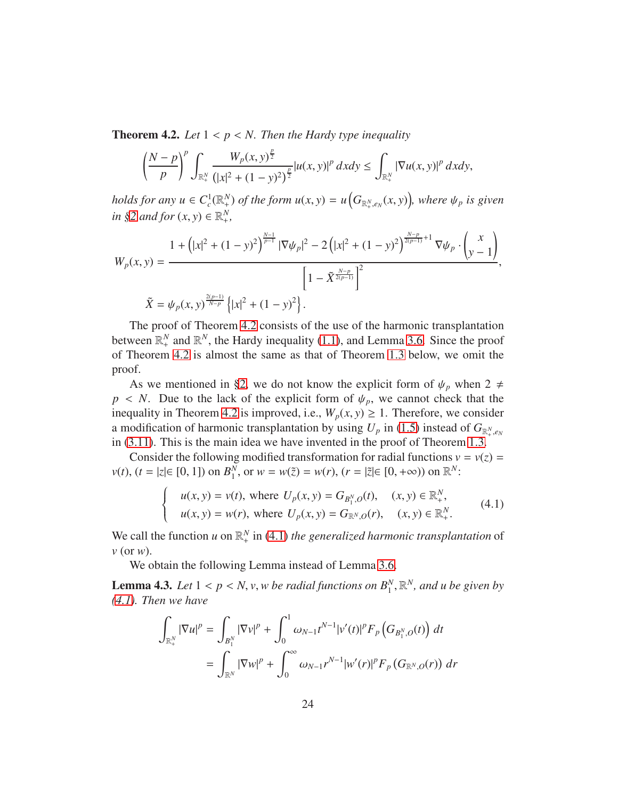<span id="page-23-0"></span>**Theorem 4.2.** Let  $1 < p < N$ . Then the Hardy type inequality

$$
\left(\frac{N-p}{p}\right)^p \int_{\mathbb{R}_+^N} \frac{W_p(x, y)^{\frac{p}{2}}}{(|x|^2 + (1 - y)^2)^{\frac{p}{2}}} |u(x, y)|^p \, dxdy \le \int_{\mathbb{R}_+^N} |\nabla u(x, y)|^p \, dxdy,
$$

*holds for any*  $u \in C_c^1(\mathbb{R}^N_+)$  *of the form*  $u(x, y) = u\Big(G_{\mathbb{R}^N_+, e_N}(x, y)\Big)$ , where  $\psi_p$  is given  $in \S2$  *and for*  $(x, y) \in \mathbb{R}^N_+$ ,

$$
W_p(x, y) = \frac{1 + (|x|^2 + (1 - y)^2)^{\frac{N-1}{p-1}} |\nabla \psi_p|^2 - 2(|x|^2 + (1 - y)^2)^{\frac{N-p}{2(p-1)} + 1} \nabla \psi_p \cdot \begin{pmatrix} x \\ y - 1 \end{pmatrix}}{\left[1 - \tilde{X}^{\frac{N-p}{2(p-1)}}\right]^2},
$$
  

$$
\tilde{X} = \psi_p(x, y)^{\frac{2(p-1)}{N-p}} \left\{|x|^2 + (1 - y)^2\right\}.
$$

The proof of Theorem [4.2](#page-23-0) consists of the use of the harmonic transplantation between  $\mathbb{R}^N_+$  and  $\mathbb{R}^N$ , the Hardy inequality [\(1.1\)](#page-1-1), and Lemma [3.6.](#page-17-1) Since the proof of Theorem [4.2](#page-23-0) is almost the same as that of Theorem [1.3](#page-3-1) below, we omit the proof.

As we mentioned in [§2,](#page-5-0) we do not know the explicit form of  $\psi_p$  when 2  $\neq$  $p \lt N$ . Due to the lack of the explicit form of  $\psi_p$ , we cannot check that the inequality in Theorem [4.2](#page-23-0) is improved, i.e.,  $W_p(x, y) \ge 1$ . Therefore, we consider a modification of harmonic transplantation by using  $U_p$  in [\(1.5\)](#page-3-3) instead of  $G_{\mathbb{R}^N_+,\,e_N}$ in [\(3.11\)](#page-19-0). This is the main idea we have invented in the proof of Theorem [1.3.](#page-3-1)

Consider the following modified transformation for radial functions  $v = v(z) =$ *v*(*t*), (*t* = |*z*|∈ [0, 1]) on *B*<sup>*N*</sup><sub>1</sub>  $_{1}^{N}$ , or  $w = w(\tilde{z}) = w(r)$ ,  $(r = |\tilde{z}| \in [0, +\infty))$  on  $\mathbb{R}^{N}$ :

<span id="page-23-1"></span>
$$
\begin{cases}\n u(x, y) = v(t), \text{ where } U_p(x, y) = G_{B_1^N, O}(t), \quad (x, y) \in \mathbb{R}_+^N, \\
 u(x, y) = w(r), \text{ where } U_p(x, y) = G_{\mathbb{R}^N, O}(r), \quad (x, y) \in \mathbb{R}_+^N.\n\end{cases} (4.1)
$$

We call the function *u* on  $\mathbb{R}^N_+$  in [\(4.1\)](#page-23-1) *the generalized harmonic transplantation* of *v* (or *w*).

We obtain the following Lemma instead of Lemma [3.6.](#page-17-1)

<span id="page-23-2"></span>**Lemma 4.3.** Let  $1 < p < N$ , v, w be radial functions on  $B_1^N$ ,  $\mathbb{R}^N$ , and u be given by *[\(4.1\)](#page-23-1). Then we have*

$$
\int_{\mathbb{R}_+^N} |\nabla u|^p = \int_{B_1^N} |\nabla v|^p + \int_0^1 \omega_{N-1} t^{N-1} |v'(t)|^p F_p \left( G_{B_1^N, O}(t) \right) dt \n= \int_{\mathbb{R}^N} |\nabla w|^p + \int_0^\infty \omega_{N-1} r^{N-1} |w'(r)|^p F_p \left( G_{\mathbb{R}^N, O}(r) \right) dr
$$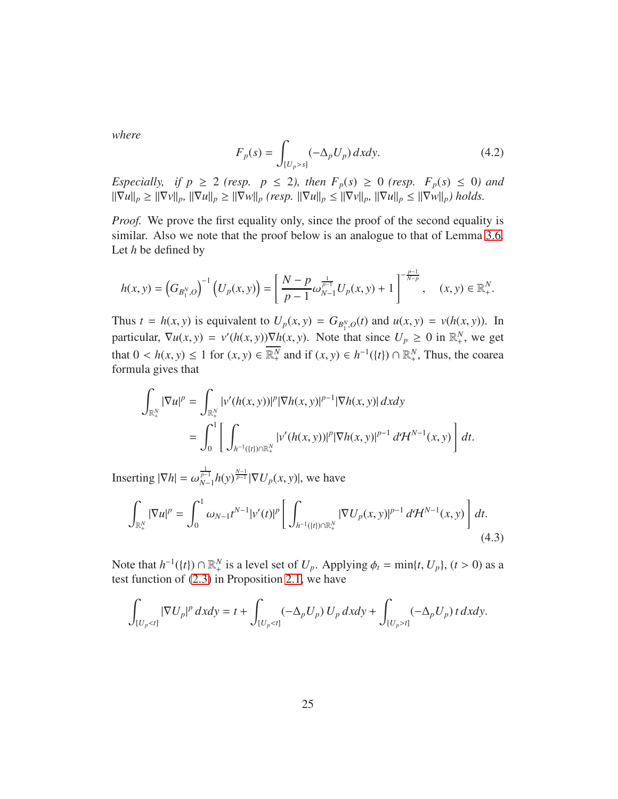*where*

<span id="page-24-1"></span>
$$
F_p(s) = \int_{[U_p > s]} (-\Delta_p U_p) dx dy.
$$
 (4.2)

*Especially, if*  $p \ge 2$  *(resp.*  $p \le 2$ *), then*  $F_p(s) \ge 0$  *(resp.*  $F_p(s) \le 0$ *) and*  $\|\nabla u\|_p \geq \|\nabla v\|_p$ ,  $\|\nabla u\|_p \geq \|\nabla w\|_p$  (resp.  $\|\nabla u\|_p \leq \|\nabla v\|_p$ ,  $\|\nabla u\|_p \leq \|\nabla w\|_p$ ) holds.

*Proof.* We prove the first equality only, since the proof of the second equality is similar. Also we note that the proof below is an analogue to that of Lemma [3.6.](#page-17-1) Let *h* be defined by

$$
h(x,y) = \left(G_{B_1^N,O}\right)^{-1} \left(U_p(x,y)\right) = \left[\frac{N-p}{p-1}\omega_{N-1}^{\frac{1}{p-1}}U_p(x,y) + 1\right]^{-\frac{p-1}{N-p}}, \quad (x,y) \in \mathbb{R}_+^N.
$$

Thus  $t = h(x, y)$  is equivalent to  $U_p(x, y) = G_{B_1^N, O}(t)$  and  $u(x, y) = v(h(x, y))$ . In particular,  $\nabla u(x, y) = v'(h(x, y)) \nabla h(x, y)$ . Note that since  $U_p \ge 0$  in  $\mathbb{R}^N_+$ , we get that  $0 < h(x, y) \le 1$  for  $(x, y) \in \overline{\mathbb{R}^N_+}$  and if  $(x, y) \in h^{-1}(\{t\}) \cap \mathbb{R}^N_+$ , Thus, the coarea formula gives that

$$
\int_{\mathbb{R}_+^N} |\nabla u|^p = \int_{\mathbb{R}_+^N} |v'(h(x, y))|^p |\nabla h(x, y)|^{p-1} |\nabla h(x, y)| dx dy
$$
  
= 
$$
\int_0^1 \left[ \int_{h^{-1}(\{t\}) \cap \mathbb{R}_+^N} |v'(h(x, y))|^p |\nabla h(x, y)|^{p-1} d\mathcal{H}^{N-1}(x, y) \right] dt.
$$

Inserting  $|\nabla h| = \omega_{N-1}^{\frac{1}{p-1}} h(y)^{\frac{N-1}{p-1}} |\nabla U_p(x, y)|$ , we have

<span id="page-24-0"></span>
$$
\int_{\mathbb{R}_+^N} |\nabla u|^p = \int_0^1 \omega_{N-1} t^{N-1} |\nu'(t)|^p \left[ \int_{h^{-1}(\{t\}) \cap \mathbb{R}_+^N} |\nabla U_p(x, y)|^{p-1} d\mathcal{H}^{N-1}(x, y) \right] dt.
$$
\n(4.3)

Note that  $h^{-1}(\{t\}) \cap \mathbb{R}^N_+$  is a level set of  $U_p$ . Applying  $\phi_t = \min\{t, U_p\}$ ,  $(t > 0)$  as a test function of [\(2.3\)](#page-6-2) in Proposition [2.1,](#page-6-0) we have

$$
\int_{[U_p < t]} |\nabla U_p|^p \, dx \, dy = t + \int_{[U_p < t]} (-\Delta_p U_p) \, U_p \, dx \, dy + \int_{[U_p > t]} (-\Delta_p U_p) \, t \, dx \, dy.
$$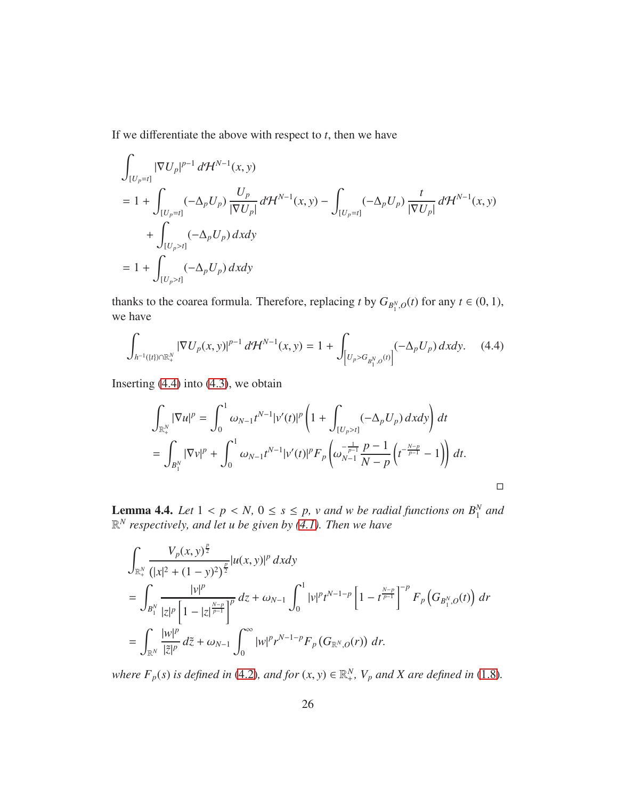If we differentiate the above with respect to  $t$ , then we have

$$
\int_{[U_p=t]} |\nabla U_p|^{p-1} d\mathcal{H}^{N-1}(x, y)
$$
\n
$$
= 1 + \int_{[U_p=t]} (-\Delta_p U_p) \frac{U_p}{|\nabla U_p|} d\mathcal{H}^{N-1}(x, y) - \int_{[U_p=t]} (-\Delta_p U_p) \frac{t}{|\nabla U_p|} d\mathcal{H}^{N-1}(x, y)
$$
\n
$$
+ \int_{[U_p>t]} (-\Delta_p U_p) dxdy
$$
\n
$$
= 1 + \int_{[U_p>t]} (-\Delta_p U_p) dxdy
$$

thanks to the coarea formula. Therefore, replacing *t* by  $G_{B_1^N, O}(t)$  for any  $t \in (0, 1)$ , we have

$$
\int_{h^{-1}(\{t\}) \cap \mathbb{R}^N_+} |\nabla U_p(x, y)|^{p-1} d\mathcal{H}^{N-1}(x, y) = 1 + \int_{\left[U_p > G_{B_1^N, O}(t)\right]} (-\Delta_p U_p) dxdy. \tag{4.4}
$$

Inserting  $(4.4)$  into  $(4.3)$ , we obtain

<span id="page-25-0"></span>
$$
\int_{\mathbb{R}_+^N} |\nabla u|^p = \int_0^1 \omega_{N-1} t^{N-1} |v'(t)|^p \left( 1 + \int_{[U_p > t]} (-\Delta_p U_p) dx dy \right) dt
$$
  
= 
$$
\int_{B_1^N} |\nabla v|^p + \int_0^1 \omega_{N-1} t^{N-1} |v'(t)|^p F_p \left( \omega_{N-1}^{-\frac{1}{p-1}} \frac{p-1}{N-p} \left( t^{-\frac{N-p}{p-1}} - 1 \right) \right) dt.
$$

<span id="page-25-1"></span>**Lemma 4.4.** Let  $1 < p < N$ ,  $0 \le s \le p$ , v and w be radial functions on  $B_1^N$  and R *N respectively, and let u be given by [\(4.1\)](#page-23-1). Then we have*

$$
\int_{\mathbb{R}^N_+} \frac{V_p(x, y)^{\frac{p}{2}}}{(|x|^2 + (1 - y)^2)^{\frac{p}{2}}} |u(x, y)|^p dx dy
$$
\n
$$
= \int_{B_1^N} \frac{|y|^p}{|z|^p \left[1 - |z|^{\frac{N-p}{p-1}}\right]^p} dz + \omega_{N-1} \int_0^1 |y|^p t^{N-1-p} \left[1 - t^{\frac{N-p}{p-1}}\right]^{-p} F_p \left(G_{B_1^N, O}(t)\right) dr
$$
\n
$$
= \int_{\mathbb{R}^N} \frac{|w|^p}{|\tilde{z}|^p} d\tilde{z} + \omega_{N-1} \int_0^\infty |w|^p r^{N-1-p} F_p \left(G_{\mathbb{R}^N, O}(r)\right) dr.
$$

*where*  $F_p(s)$  *is defined in* [\(4.2\)](#page-24-1)*, and for*  $(x, y) \in \mathbb{R}^N_+$ ,  $V_p$  *and X are defined in* [\(1.8\)](#page-3-2)*.*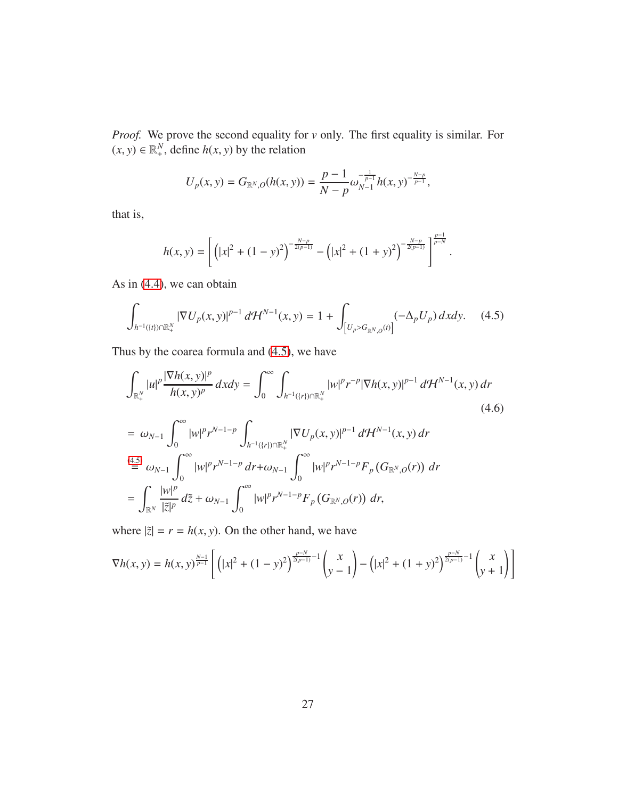*Proof.* We prove the second equality for *v* only. The first equality is similar. For  $(x, y) \in \mathbb{R}^N_+$ , define  $h(x, y)$  by the relation

<span id="page-26-0"></span>
$$
U_p(x, y) = G_{\mathbb{R}^N, O}(h(x, y)) = \frac{p-1}{N-p} \omega_{N-1}^{-\frac{1}{p-1}} h(x, y)^{-\frac{N-p}{p-1}},
$$

that is,

<span id="page-26-1"></span>
$$
h(x,y) = \left[ \left( |x|^2 + (1-y)^2 \right)^{-\frac{N-p}{2(p-1)}} - \left( |x|^2 + (1+y)^2 \right)^{-\frac{N-p}{2(p-1)}} \right]^{\frac{p-1}{p-N}}.
$$

As in [\(4.4\)](#page-25-0), we can obtain

$$
\int_{h^{-1}(\{t\}) \cap \mathbb{R}^N_+} |\nabla U_p(x, y)|^{p-1} d\mathcal{H}^{N-1}(x, y) = 1 + \int_{\left[U_p > G_{\mathbb{R}^N, 0}(t)\right]} (-\Delta_p U_p) dxdy. \tag{4.5}
$$

Thus by the coarea formula and [\(4.5\)](#page-26-0), we have

$$
\int_{\mathbb{R}_{+}^{N}} |u|^{p} \frac{|\nabla h(x, y)|^{p}}{h(x, y)^{p}} dx dy = \int_{0}^{\infty} \int_{h^{-1}(\{r\}) \cap \mathbb{R}_{+}^{N}} |w|^{p} r^{-p} |\nabla h(x, y)|^{p-1} d\mathcal{H}^{N-1}(x, y) dr
$$
\n
$$
= \omega_{N-1} \int_{0}^{\infty} |w|^{p} r^{N-1-p} \int_{h^{-1}(\{r\}) \cap \mathbb{R}_{+}^{N}} |\nabla U_{p}(x, y)|^{p-1} d\mathcal{H}^{N-1}(x, y) dr
$$
\n
$$
\stackrel{(4.5)}{=} \omega_{N-1} \int_{0}^{\infty} |w|^{p} r^{N-1-p} dr + \omega_{N-1} \int_{0}^{\infty} |w|^{p} r^{N-1-p} F_{p}(G_{\mathbb{R}^{N}, Q}(r)) dr
$$
\n
$$
= \int_{\mathbb{R}^{N}} \frac{|w|^{p}}{|\tilde{z}|^{p}} d\tilde{z} + \omega_{N-1} \int_{0}^{\infty} |w|^{p} r^{N-1-p} F_{p}(G_{\mathbb{R}^{N}, Q}(r)) dr,
$$
\n(4.6)

where  $|\tilde{z}| = r = h(x, y)$ . On the other hand, we have

$$
\nabla h(x, y) = h(x, y)^{\frac{N-1}{p-1}} \left[ \left( |x|^2 + (1 - y)^2 \right)^{\frac{p-N}{2(p-1)} - 1} \binom{x}{y-1} - \left( |x|^2 + (1 + y)^2 \right)^{\frac{p-N}{2(p-1)} - 1} \binom{x}{y+1} \right]
$$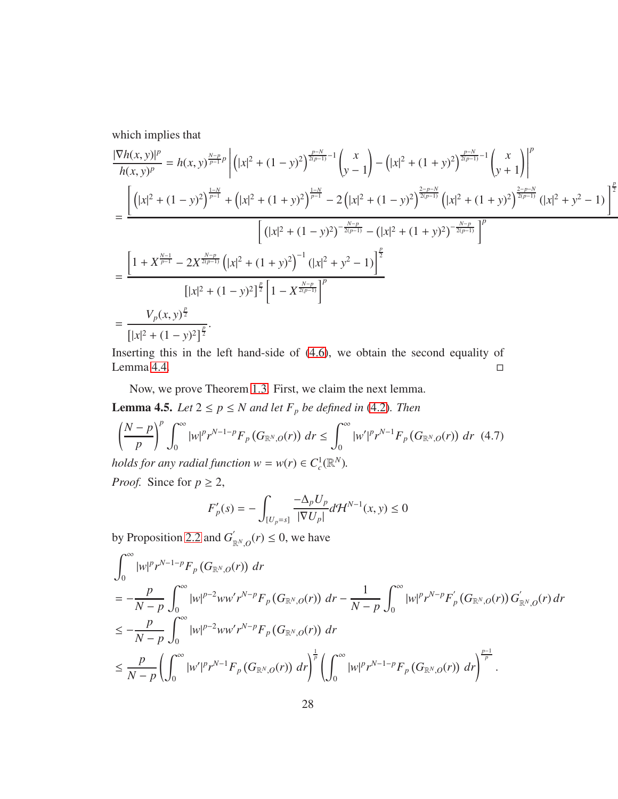which implies that

$$
\frac{|\nabla h(x, y)|^p}{h(x, y)^p} = h(x, y)^{\frac{N-p}{p-1}p} \left| \left( |x|^2 + (1 - y)^2 \right)^{\frac{p-N}{2(p-1)}-1} \binom{x}{y-1} - \left( |x|^2 + (1 + y)^2 \right)^{\frac{p-N}{2(p-1)}-1} \binom{x}{y+1} \right|^p \right|
$$
\n
$$
= \frac{\left[ \left( |x|^2 + (1 - y)^2 \right)^{\frac{1-N}{p-1}} + \left( |x|^2 + (1 + y)^2 \right)^{\frac{1-N}{p-1}} - 2 \left( |x|^2 + (1 - y)^2 \right)^{\frac{2-p-N}{2(p-1)}} \left( |x|^2 + (1 + y)^2 \right)^{\frac{2-p-N}{2(p-1)}} \left( |x|^2 + (1 + y)^2 \right)^{\frac{2-p-N}{2(p-1)}} \left( |x|^2 + (1 - y)^2 \right)^{-\frac{N-p}{2(p-1)}} \right|^p}{\left[ |x|^2 + (1 - y)^2 \right]^{\frac{p}{2}} \left[ |x|^2 + (1 - y)^2 \right]^{\frac{p}{2}} \left[ 1 - X^{\frac{N-p}{2(p-1)}} \right]^p}
$$
\n
$$
= \frac{V_p(x, y)^{\frac{p}{2}}}{\left[ |x|^2 + (1 - y)^2 \right]^{\frac{p}{2}}}.
$$

Inserting this in the left hand-side of [\(4.6\)](#page-26-1), we obtain the second equality of Lemma [4.4.](#page-25-1)

Now, we prove Theorem [1.3.](#page-3-1) First, we claim the next lemma.

**Lemma 4.5.** *Let*  $2 \le p \le N$  *and let*  $F_p$  *be defined in* [\(4.2\)](#page-24-1)*. Then* 

$$
\left(\frac{N-p}{p}\right)^p \int_0^\infty |w|^p r^{N-1-p} F_p\left(G_{\mathbb{R}^N,O}(r)\right) dr \le \int_0^\infty |w'|^p r^{N-1} F_p\left(G_{\mathbb{R}^N,O}(r)\right) dr \tag{4.7}
$$
  
holds for any radial function  $w = w(r) \in C_c^1(\mathbb{R}^N)$ .

*Proof.* Since for  $p \geq 2$ ,

<span id="page-27-0"></span>
$$
F'_{p}(s) = -\int_{[U_{p}=s]} \frac{-\Delta_{p}U_{p}}{|\nabla U_{p}|} d\mathcal{H}^{N-1}(x, y) \leq 0
$$

by Proposition [2.2](#page-6-1) and  $G'_{\mathbb{R}^N,0}(r) \leq 0$ , we have

$$
\int_{0}^{\infty} |w|^{p} r^{N-1-p} F_{p} (G_{\mathbb{R}^{N},0}(r)) dr
$$
\n
$$
= -\frac{p}{N-p} \int_{0}^{\infty} |w|^{p-2} w w' r^{N-p} F_{p} (G_{\mathbb{R}^{N},0}(r)) dr - \frac{1}{N-p} \int_{0}^{\infty} |w|^{p} r^{N-p} F_{p} (G_{\mathbb{R}^{N},0}(r)) G_{\mathbb{R}^{N},0}^{'}(r) dr
$$
\n
$$
\leq -\frac{p}{N-p} \int_{0}^{\infty} |w|^{p-2} w w' r^{N-p} F_{p} (G_{\mathbb{R}^{N},0}(r)) dr
$$
\n
$$
\leq \frac{p}{N-p} \left( \int_{0}^{\infty} |w'|^{p} r^{N-1} F_{p} (G_{\mathbb{R}^{N},0}(r)) dr \right)^{\frac{1}{p}} \left( \int_{0}^{\infty} |w|^{p} r^{N-1-p} F_{p} (G_{\mathbb{R}^{N},0}(r)) dr \right)^{\frac{p-1}{p}}.
$$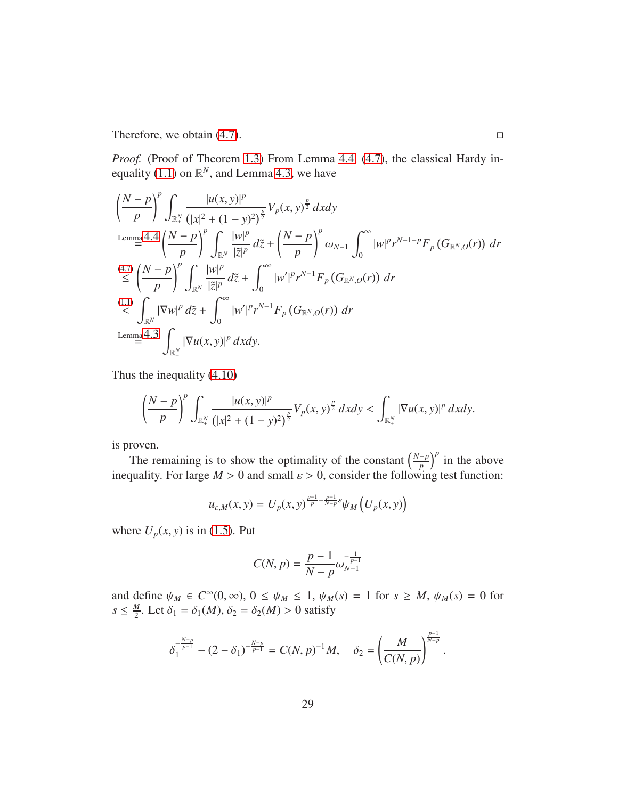Therefore, we obtain  $(4.7)$ .

*Proof.* (Proof of Theorem [1.3\)](#page-3-1) From Lemma [4.4,](#page-25-1) [\(4.7\)](#page-27-0), the classical Hardy in-equality [\(1.1\)](#page-1-1) on  $\mathbb{R}^N$ , and Lemma [4.3,](#page-23-2) we have

$$
\left(\frac{N-p}{p}\right)^p \int_{\mathbb{R}_+^N} \frac{|u(x,y)|^p}{(|x|^2 + (1-y)^2)^{\frac{p}{2}}} V_p(x,y)^{\frac{p}{2}} dx dy
$$
\n
$$
\lim_{m \to \infty} 4.4 \left(\frac{N-p}{p}\right)^p \int_{\mathbb{R}^N} \frac{|w|^p}{|\tilde{z}|^p} d\tilde{z} + \left(\frac{N-p}{p}\right)^p \omega_{N-1} \int_0^\infty |w|^p r^{N-1-p} F_p(G_{\mathbb{R}^N,0}(r)) dr
$$
\n
$$
\stackrel{(4.7)}{\leq} \left(\frac{N-p}{p}\right)^p \int_{\mathbb{R}^N} \frac{|w|^p}{|\tilde{z}|^p} d\tilde{z} + \int_0^\infty |w'|^p r^{N-1} F_p(G_{\mathbb{R}^N,0}(r)) dr
$$
\n
$$
\stackrel{(1.1)}{\leq} \int_{\mathbb{R}^N} |\nabla w|^p d\tilde{z} + \int_0^\infty |w'|^p r^{N-1} F_p(G_{\mathbb{R}^N,0}(r)) dr
$$
\n
$$
\lim_{m \to \infty} 4.3 \int_{\mathbb{R}_+^N} |\nabla u(x,y)|^p dx dy.
$$

Thus the inequality [\(4.10\)](#page-30-0)

$$
\left(\frac{N-p}{p}\right)^p \int_{\mathbb{R}_+^N} \frac{|u(x,y)|^p}{(|x|^2+(1-y)^2)^{\frac{p}{2}}} V_p(x,y)^{\frac{p}{2}} dx dy < \int_{\mathbb{R}_+^N} |\nabla u(x,y)|^p dx dy.
$$

is proven.

The remaining is to show the optimality of the constant  $\left(\frac{N-p}{p}\right)^p$  in the above inequality. For large  $M > 0$  and small  $\varepsilon > 0$ , consider the following test function:

$$
u_{\varepsilon,M}(x, y) = U_p(x, y)^{\frac{p-1}{p} - \frac{p-1}{N-p}\varepsilon} \psi_M\left(U_p(x, y)\right)
$$

where  $U_p(x, y)$  is in [\(1.5\)](#page-3-3). Put

$$
C(N, p) = \frac{p-1}{N-p} \omega_{N-1}^{-\frac{1}{p-1}}
$$

and define  $\psi_M \in C^\infty(0, \infty)$ ,  $0 \le \psi_M \le 1$ ,  $\psi_M(s) = 1$  for  $s \ge M$ ,  $\psi_M(s) = 0$  for  $s \leq \frac{M}{2}$  $\frac{M}{2}$ . Let  $\delta_1 = \delta_1(M)$ ,  $\delta_2 = \delta_2(M) > 0$  satisfy

$$
\delta_1^{-\frac{N-p}{p-1}} - (2-\delta_1)^{-\frac{N-p}{p-1}} = C(N,p)^{-1}M, \quad \delta_2 = \left(\frac{M}{C(N,p)}\right)^{\frac{p-1}{N-p}}.
$$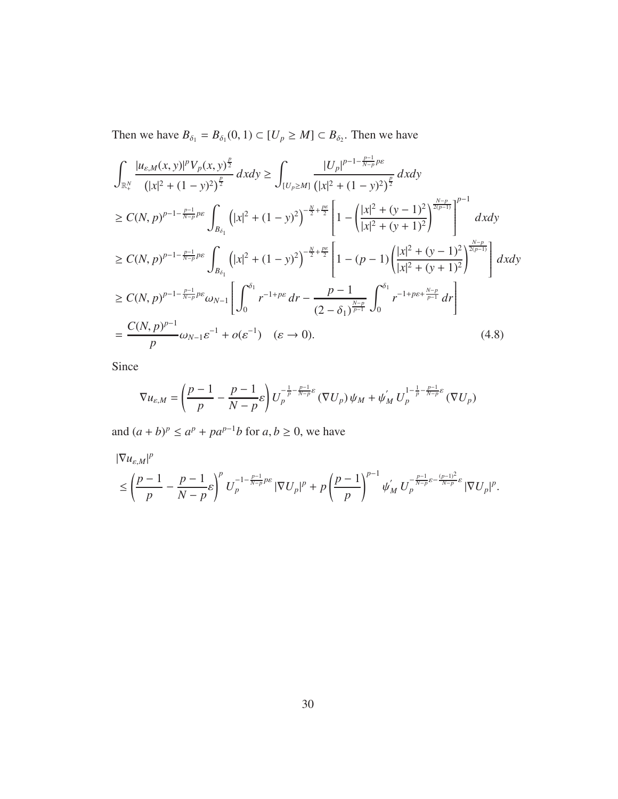Then we have  $B_{\delta_1} = B_{\delta_1}(0, 1) \subset [U_p \geq M] \subset B_{\delta_2}$ . Then we have

$$
\int_{\mathbb{R}^N_+} \frac{|u_{\varepsilon,M}(x,y)|^p V_p(x,y)^{\frac{p}{2}}}{(|x|^2 + (1-y)^2)^{\frac{p}{2}}} dx dy \ge \int_{[U_p \ge M]} \frac{|U_p|^{p-1-\frac{p-1}{N-p}p\varepsilon}}{|x|^2 + (1-y)^2|^{\frac{p}{2}}} dx dy
$$
\n
$$
\ge C(N, p)^{p-1-\frac{p-1}{N-p}p\varepsilon} \int_{B_{\delta_1}} (|x|^2 + (1-y)^2)^{-\frac{N}{2}+\frac{p\varepsilon}{2}} \left[1 - \left(\frac{|x|^2 + (y-1)^2}{|x|^2 + (y+1)^2}\right)^{\frac{N-p}{2(p-1)}}\right]^{p-1} dx dy
$$
\n
$$
\ge C(N, p)^{p-1-\frac{p-1}{N-p}p\varepsilon} \int_{B_{\delta_1}} (|x|^2 + (1-y)^2)^{-\frac{N}{2}+\frac{p\varepsilon}{2}} \left[1 - (p-1)\left(\frac{|x|^2 + (y-1)^2}{|x|^2 + (y+1)^2}\right)^{\frac{N-p}{2(p-1)}}\right] dx dy
$$
\n
$$
\ge C(N, p)^{p-1-\frac{p-1}{N-p}p\varepsilon} \omega_{N-1} \left[\int_0^{\delta_1} r^{-1+p\varepsilon} dr - \frac{p-1}{(2-\delta_1)^{\frac{N-p}{p-1}}} \int_0^{\delta_1} r^{-1+p\varepsilon+\frac{N-p}{p-1}} dr\right]
$$
\n
$$
= \frac{C(N, p)^{p-1}}{p} \omega_{N-1} \varepsilon^{-1} + o(\varepsilon^{-1}) \quad (\varepsilon \to 0).
$$
\n(4.8)

Since

<span id="page-29-0"></span>
$$
\nabla u_{\varepsilon,M} = \left(\frac{p-1}{p} - \frac{p-1}{N-p}\varepsilon\right) U_p^{-\frac{1}{p} - \frac{p-1}{N-p}\varepsilon} (\nabla U_p) \psi_M + \psi'_M U_p^{1 - \frac{1}{p} - \frac{p-1}{N-p}\varepsilon} (\nabla U_p)
$$

and  $(a + b)^p \le a^p + pa^{p-1}b$  for  $a, b \ge 0$ , we have

$$
\begin{aligned} &|\nabla u_{\varepsilon,M}|^p\\&\leq \left(\frac{p-1}{p}-\frac{p-1}{N-p}\varepsilon\right)^pU_p^{-1-\frac{p-1}{N-p}p\varepsilon}\left|\nabla U_p\right|^p+p\left(\frac{p-1}{p}\right)^{p-1}\psi_M^{'}\,U_p^{-\frac{p-1}{N-p}\varepsilon-\frac{(p-1)^2}{N-p}\varepsilon}\left|\nabla U_p\right|^p.\end{aligned}
$$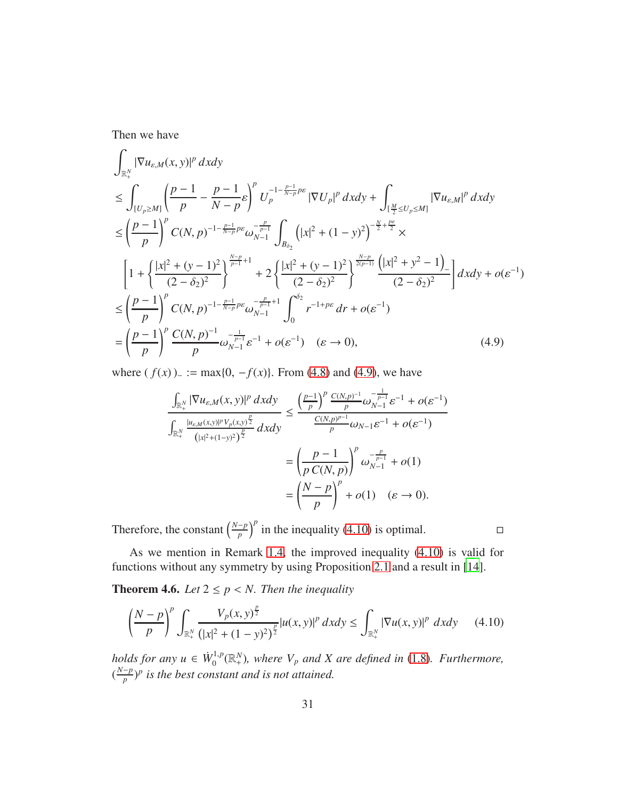Then we have

$$
\int_{\mathbb{R}_{+}^{N}} |\nabla u_{\varepsilon,M}(x,y)|^{p} dxdy \n\leq \int_{[U_{p}\geq M]} \left(\frac{p-1}{p} - \frac{p-1}{N-p}\varepsilon\right)^{p} U_{p}^{-1-\frac{p-1}{N-p}p\varepsilon} |\nabla U_{p}|^{p} dxdy + \int_{[\frac{M}{2}\leq U_{p}\leq M]} |\nabla u_{\varepsilon,M}|^{p} dxdy \n\leq \left(\frac{p-1}{p}\right)^{p} C(N,p)^{-1-\frac{p-1}{N-p}p\varepsilon} \omega_{N-1}^{-\frac{p}{p-1}} \int_{B_{\delta_{2}}} \left(|x|^{2} + (1-y)^{2}\right)^{-\frac{N}{2}+\frac{p\varepsilon}{2}} \times \n\left[1 + \left{\frac{|x|^{2} + (y-1)^{2}}{(2-\delta_{2})^{2}}\right}^{\frac{N-p}{p-1}+1} + 2\left{\frac{|x|^{2} + (y-1)^{2}}{(2-\delta_{2})^{2}}\right}^{\frac{N-p}{2(p-1)}} \frac{\left(|x|^{2} + y^{2} - 1\right)}{(2-\delta_{2})^{2}}\right] dxdy + o(\varepsilon^{-1}) \n\leq \left(\frac{p-1}{p}\right)^{p} C(N,p)^{-1-\frac{p-1}{N-p}p\varepsilon} \omega_{N-1}^{-\frac{p}{p-1}+1} \int_{0}^{\delta_{2}} r^{-1+p\varepsilon} dr + o(\varepsilon^{-1}) \n= \left(\frac{p-1}{p}\right)^{p} \frac{C(N,p)^{-1}}{p} \omega_{N-1}^{-\frac{1}{p-1}\varepsilon^{-1}} + o(\varepsilon^{-1}) \quad (\varepsilon \to 0), \tag{4.9}
$$

where  $(f(x))_{-} := \max\{0, -f(x)\}\$ . From [\(4.8\)](#page-29-0) and [\(4.9\)](#page-30-2), we have

<span id="page-30-2"></span>
$$
\frac{\int_{\mathbb{R}^N_+} |\nabla u_{\varepsilon,M}(x,y)|^p dx dy}{\int_{\mathbb{R}^N_+} \frac{|u_{\varepsilon,M}(x,y)|^p v_{p}(x,y)|^p}{\left(|x|^2 + (1-y)^2\right)^{\frac{p}{2}}} dx dy} \le \frac{\left(\frac{p-1}{p}\right)^p \frac{C(N,p)^{-1}}{p} \omega_{N-1}^{-1} \varepsilon^{-1} + o(\varepsilon^{-1})}{\frac{C(N,p)^{p-1}}{p} \omega_{N-1} \varepsilon^{-1} + o(\varepsilon^{-1})}
$$

$$
= \left(\frac{p-1}{p C(N,p)}\right)^p \omega_{N-1}^{-\frac{p}{p-1}} + o(1)
$$

$$
= \left(\frac{N-p}{p}\right)^p + o(1) \quad (\varepsilon \to 0).
$$

Therefore, the constant  $\left(\frac{N-p}{p}\right)^p$  in the inequality [\(4.10\)](#page-30-0) is optimal.

As we mention in Remark [1.4,](#page-4-0) the improved inequality [\(4.10\)](#page-30-0) is valid for functions without any symmetry by using Proposition [2.1](#page-6-0) and a result in [\[14\]](#page-39-4).

<span id="page-30-1"></span>**Theorem 4.6.** *Let*  $2 \leq p \leq N$ *. Then the inequality* 

<span id="page-30-0"></span>
$$
\left(\frac{N-p}{p}\right)^p \int_{\mathbb{R}_+^N} \frac{V_p(x, y)^{\frac{p}{2}}}{\left(|x|^2 + (1 - y)^2\right)^{\frac{p}{2}}} |u(x, y)|^p \, dxdy \le \int_{\mathbb{R}_+^N} |\nabla u(x, y)|^p \, dxdy \qquad (4.10)
$$

*holds for any*  $u \in \dot{W}_0^{1,p}$  $\mathcal{O}_0^{(1,p)}(\mathbb{R}^N_+)$ , where  $V_p$  and X are defined in [\(1.8\)](#page-3-2). Furthermore,  $(\frac{N-p}{p})^p$  is the best constant and is not attained.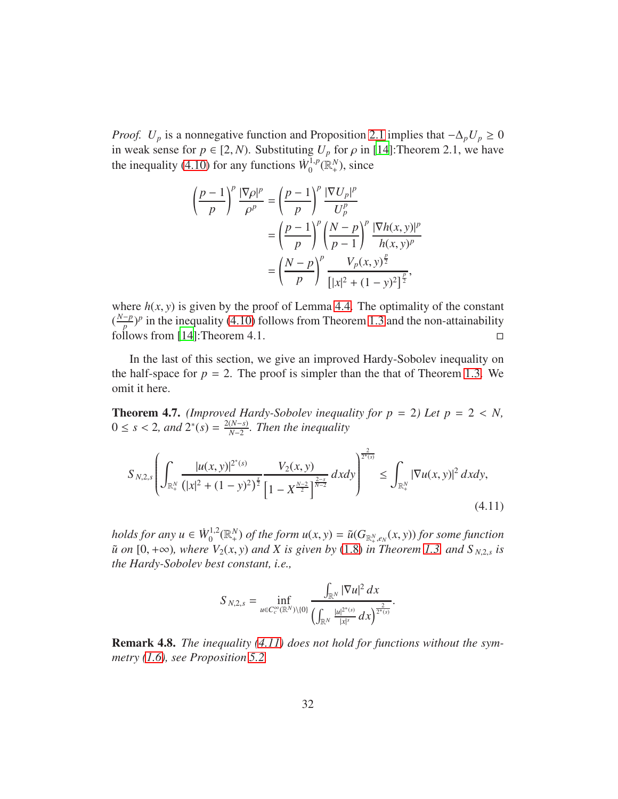*Proof.*  $U_p$  is a nonnegative function and Proposition [2.1](#page-6-0) implies that  $-\Delta_p U_p \ge 0$ in weak sense for  $p \in [2, N)$ . Substituting  $U_p$  for  $\rho$  in [\[14\]](#page-39-4): Theorem 2.1, we have the inequality [\(4.10\)](#page-30-0) for any functions  $\dot{W}_0^{1,p}$  $L_0^{1,p}(\mathbb{R}_+^N)$ , since

$$
\left(\frac{p-1}{p}\right)^p \frac{|\nabla \rho|^p}{\rho^p} = \left(\frac{p-1}{p}\right)^p \frac{|\nabla U_p|^p}{U_p^p} \n= \left(\frac{p-1}{p}\right)^p \left(\frac{N-p}{p-1}\right)^p \frac{|\nabla h(x, y)|^p}{h(x, y)^p} \n= \left(\frac{N-p}{p}\right)^p \frac{V_p(x, y)^{\frac{p}{2}}}{\left[|x|^2 + (1 - y)^2\right]^{\frac{p}{2}}},
$$

where  $h(x, y)$  is given by the proof of Lemma [4.4.](#page-25-1) The optimality of the constant  $(\frac{N-p}{p})^p$  in the inequality [\(4.10\)](#page-30-0) follows from Theorem [1.3](#page-3-1) and the non-attainability follows from [\[14\]](#page-39-4): Theorem 4.1.  $\square$ 

In the last of this section, we give an improved Hardy-Sobolev inequality on the half-space for  $p = 2$ . The proof is simpler than the that of Theorem [1.3.](#page-3-1) We omit it here.

<span id="page-31-1"></span>**Theorem 4.7.** *(Improved Hardy-Sobolev inequality for p = 2) Let p = 2 < N,*  $0 \le s < 2$ , and  $2^*(s) = \frac{2(N-s)}{N-2}$ *N*−2 *. Then the inequality*

$$
S_{N,2,s} \left( \int_{\mathbb{R}^N_+} \frac{|u(x,y)|^{2^*(s)}}{(|x|^2 + (1-y)^2)^{\frac{s}{2}}} \frac{V_2(x,y)}{\left[1 - X^{\frac{N-2}{2}}\right]^{\frac{2-s}{N-2}}} dx dy \right)^{\frac{2}{2^*(s)}} \le \int_{\mathbb{R}^N_+} |\nabla u(x,y)|^2 dx dy,
$$
\n(4.11)

*holds for any*  $u \in \dot{W}_0^{1,2}$  $\tilde{u}_0^{1,2}(\mathbb{R}^N_+)$  *of the form*  $u(x, y) = \tilde{u}(G_{\mathbb{R}^N_+,e_N}(x, y))$  *for some function*  $\tilde{u}$  *on* [0, + $\infty$ )*, where*  $V_2(x, y)$  *and X is given by* [\(1.8\)](#page-3-2) *in Theorem* [1.3,](#page-3-1) *and*  $S_{N,2,s}$  *is the Hardy-Sobolev best constant, i.e.,*

<span id="page-31-0"></span>
$$
S_{N,2,s} = \inf_{u \in C_c^{\infty}(\mathbb{R}^N)\setminus\{0\}} \frac{\int_{\mathbb{R}^N} |\nabla u|^2 \, dx}{\left(\int_{\mathbb{R}^N} \frac{|u|^{2^*(s)}}{|x|^s} \, dx\right)^{\frac{2}{2^*(s)}}}.
$$

Remark 4.8. *The inequality [\(4.11\)](#page-31-0) does not hold for functions without the symmetry [\(1.6\)](#page-3-0), see Proposition [5.2.](#page-32-2)*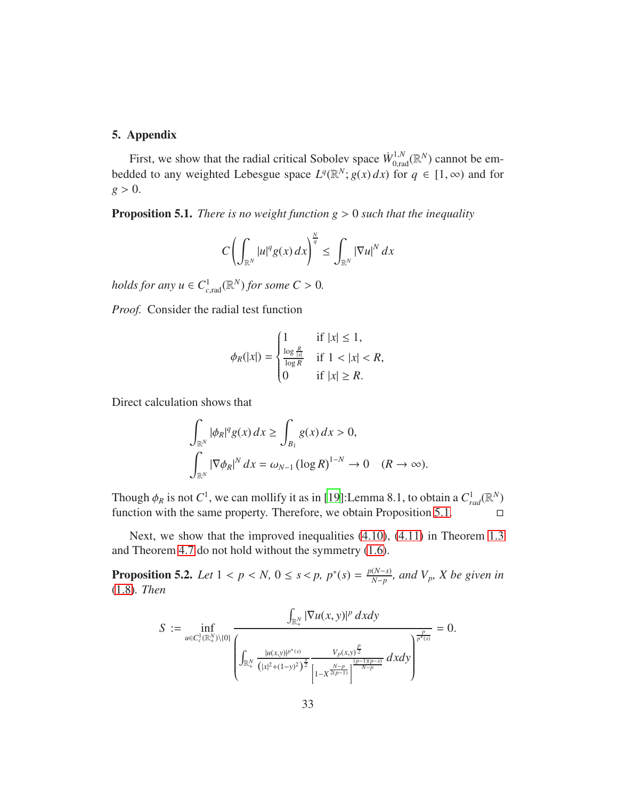## <span id="page-32-0"></span>5. Appendix

First, we show that the radial critical Sobolev space  $\dot{W}_{0,\text{rad}}^{1,N}(\mathbb{R}^N)$  cannot be embedded to any weighted Lebesgue space  $L^q(\mathbb{R}^N; g(x) dx)$  for  $q \in [1, \infty)$  and for  $g > 0$ .

<span id="page-32-1"></span>Proposition 5.1. *There is no weight function g* > 0 *such that the inequality*

$$
C\left(\int_{\mathbb{R}^N}|u|^qg(x)\,dx\right)^{\frac{N}{q}}\leq\int_{\mathbb{R}^N}|\nabla u|^N\,dx
$$

*holds for any*  $u \in C^1_{c,rad}(\mathbb{R}^N)$  *for some*  $C > 0$ *.* 

*Proof.* Consider the radial test function

$$
\phi_R(|x|) = \begin{cases} 1 & \text{if } |x| \le 1, \\ \frac{\log \frac{R}{|x|}}{\log R} & \text{if } 1 < |x| < R, \\ 0 & \text{if } |x| \ge R. \end{cases}
$$

Direct calculation shows that

$$
\int_{\mathbb{R}^N} |\phi_R|^q g(x) dx \ge \int_{B_1} g(x) dx > 0,
$$
  

$$
\int_{\mathbb{R}^N} |\nabla \phi_R|^N dx = \omega_{N-1} (\log R)^{1-N} \to 0 \quad (R \to \infty).
$$

Though  $\phi_R$  is not  $C^1$ , we can mollify it as in [\[19\]](#page-39-9):Lemma 8.1, to obtain a  $C_{rad}^1(\mathbb{R}^N)$ function with the same property. Therefore, we obtain Proposition [5.1.](#page-32-1)  $\Box$ 

Next, we show that the improved inequalities [\(4.10\)](#page-30-0), [\(4.11\)](#page-31-0) in Theorem [1.3](#page-3-1) and Theorem [4.7](#page-31-1) do not hold without the symmetry [\(1.6\)](#page-3-0).

<span id="page-32-2"></span>**Proposition 5.2.** *Let*  $1 < p < N$ ,  $0 \le s < p$ ,  $p^*(s) = \frac{p(N-s)}{N-p}$ *N*−*p , and Vp, X be given in* [\(1.8\)](#page-3-2)*. Then*

$$
S := \inf_{u \in C_c^1(\mathbb{R}^N_+)\setminus\{0\}} \frac{\int_{\mathbb{R}^N_+} |\nabla u(x, y)|^p \, dxdy}{\left(\int_{\mathbb{R}^N_+} \frac{|u(x, y)|^{p^*(s)}}{\left(|x|^2 + (1-y)^2\right)^{\frac{s}{2}}}\frac{V_p(x, y)^{\frac{p}{2}}}{\left|1 - X^{\frac{N-p}{2(p-1)}}\right|^{\frac{(p-1)(p-s)}{N-p}}} \, dxdy\right)^p} = 0.
$$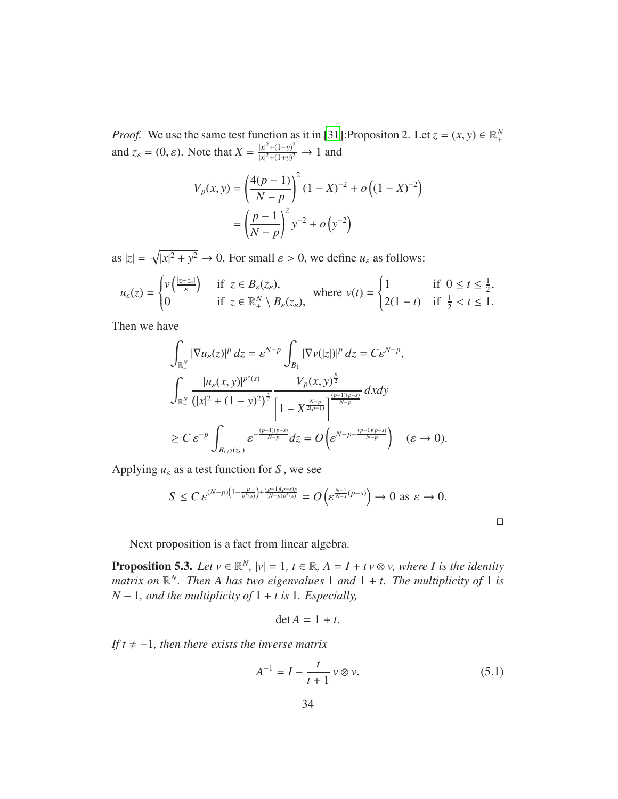*Proof.* We use the same test function as it in [31]:Propositon 2. Let  $z = (x, y) \in \mathbb{R}^N_+$ and  $z_{\varepsilon} = (0, \varepsilon)$ . Note that  $X = \frac{|x|^2 + (1 - y)^2}{|x|^2 + (1 + y)^2}$  $\frac{|x|^2 + (1-y)^2}{|x|^2 + (1+y)^2} \to 1$  and

$$
V_p(x, y) = \left(\frac{4(p-1)}{N-p}\right)^2 (1 - X)^{-2} + o\left((1 - X)^{-2}\right)
$$

$$
= \left(\frac{p-1}{N-p}\right)^2 y^{-2} + o\left(y^{-2}\right)
$$

as  $|z| = \sqrt{|x|^2 + y^2} \to 0$ . For small  $\varepsilon > 0$ , we define  $u_{\varepsilon}$  as follows:

$$
u_{\varepsilon}(z) = \begin{cases} v\left(\frac{|z-z_{\varepsilon}|}{\varepsilon}\right) & \text{if } z \in B_{\varepsilon}(z_{\varepsilon}), \\ 0 & \text{if } z \in \mathbb{R}^N_+ \setminus B_{\varepsilon}(z_{\varepsilon}), \end{cases} \text{ where } v(t) = \begin{cases} 1 & \text{if } 0 \le t \le \frac{1}{2}, \\ 2(1-t) & \text{if } \frac{1}{2} < t \le 1. \end{cases}
$$

Then we have

$$
\int_{\mathbb{R}_{+}^{N}} |\nabla u_{\varepsilon}(z)|^{p} dz = \varepsilon^{N-p} \int_{B_{1}} |\nabla v(|z|)|^{p} dz = C \varepsilon^{N-p},
$$
\n
$$
\int_{\mathbb{R}_{+}^{N}} \frac{|u_{\varepsilon}(x, y)|^{p^{*}(s)}}{(|x|^{2} + (1 - y)^{2})^{\frac{s}{2}}} \frac{V_{p}(x, y)^{\frac{p}{2}}}{\left[1 - X^{\frac{N-p}{2(p-1)}}\right]^{\frac{(p-1)(p-s)}{N-p}}} dxdy
$$
\n
$$
\geq C \varepsilon^{-p} \int_{B_{\varepsilon/2}(z_{\varepsilon})} \varepsilon^{-\frac{(p-1)(p-s)}{N-p}} dz = O\left(\varepsilon^{N-p-\frac{(p-1)(p-s)}{N-p}}\right) \quad (\varepsilon \to 0).
$$

Applying  $u_{\varepsilon}$  as a test function for *S*, we see

$$
S \leq C \, \varepsilon^{(N-p)\left(1-\frac{p}{p^*(s)}\right)+\frac{(p-1)(p-s)p}{(N-p)p^*(s)}} = O\left(\varepsilon^{\frac{N-1}{N-s}(p-s)}\right) \to 0 \text{ as } \varepsilon \to 0.
$$

Next proposition is a fact from linear algebra.

<span id="page-33-0"></span>**Proposition 5.3.** Let  $v \in \mathbb{R}^N$ ,  $|v| = 1$ ,  $t \in \mathbb{R}$ ,  $A = I + tv \otimes v$ , where I is the identity matrix on  $\mathbb{R}^N$ . Then A has two eigenvalues 1 and  $1 + t$ . The multiplicity of 1 is *N* − 1*, and the multiplicity of* 1 + *t is* 1*. Especially,*

$$
\det A = 1 + t.
$$

*If t*  $\neq -1$ *, then there exists the inverse matrix* 

$$
A^{-1} = I - \frac{t}{t+1} v \otimes v.
$$
 (5.1)

<span id="page-33-1"></span> $\Box$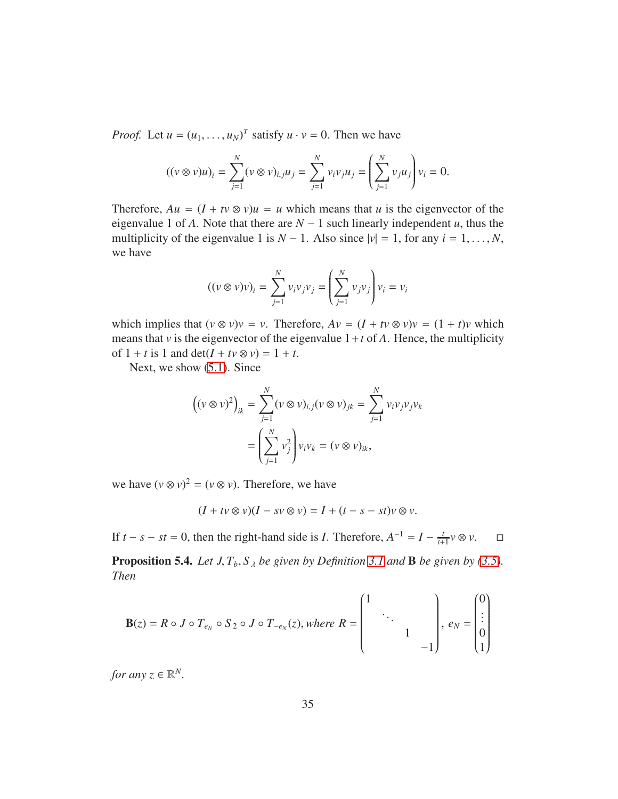*Proof.* Let  $u = (u_1, \dots, u_N)^T$  satisfy  $u \cdot v = 0$ . Then we have

$$
((v \otimes v)u)_i = \sum_{j=1}^N (v \otimes v)_{i,j} u_j = \sum_{j=1}^N v_j v_j u_j = \left(\sum_{j=1}^N v_j u_j\right) v_i = 0.
$$

Therefore,  $Au = (I + tv \otimes v)u = u$  which means that *u* is the eigenvector of the eigenvalue 1 of *A*. Note that there are  $N - 1$  such linearly independent *u*, thus the multiplicity of the eigenvalue 1 is  $N - 1$ . Also since  $|v| = 1$ , for any  $i = 1, ..., N$ , we have

$$
((v \otimes v)v)_i = \sum_{j=1}^N v_i v_j v_j = \left(\sum_{j=1}^N v_j v_j\right) v_i = v_i
$$

which implies that  $(v \otimes v)v = v$ . Therefore,  $Av = (I + tv \otimes v)v = (1 + t)v$  which means that *v* is the eigenvector of the eigenvalue  $1 + t$  of A. Hence, the multiplicity of  $1 + t$  is 1 and  $\det(I + tv \otimes v) = 1 + t$ .

Next, we show [\(5.1\)](#page-33-1). Since

$$
\left((v \otimes v)^2\right)_{ik} = \sum_{j=1}^N (v \otimes v)_{i,j} (v \otimes v)_{jk} = \sum_{j=1}^N v_i v_j v_j v_k
$$

$$
= \left(\sum_{j=1}^N v_j^2\right) v_i v_k = (v \otimes v)_{ik},
$$

we have  $(v \otimes v)^2 = (v \otimes v)$ . Therefore, we have

$$
(I + tv \otimes v)(I - sv \otimes v) = I + (t - s - st)v \otimes v.
$$

If  $t - s - st = 0$ , then the right-hand side is *I*. Therefore,  $A^{-1} = I - \frac{t}{t+1}$  $\frac{t}{t+1}$ *v* ⊗ *v*. □

<span id="page-34-0"></span>**Proposition 5.4.** *Let J,*  $T_b$ ,  $S_A$  *be given by Definition* [3.1](#page-12-3) *and* **B** *be given by* [\(3.5\)](#page-15-1)*. Then*

$$
\mathbf{B}(z) = R \circ J \circ T_{e_N} \circ S_2 \circ J \circ T_{-e_N}(z), \text{ where } R = \begin{pmatrix} 1 & & & \\ & \ddots & & \\ & & 1 & \\ & & & -1 \end{pmatrix}, e_N = \begin{pmatrix} 0 \\ \vdots \\ 0 \\ 1 \end{pmatrix}
$$

*for any*  $z \in \mathbb{R}^N$ .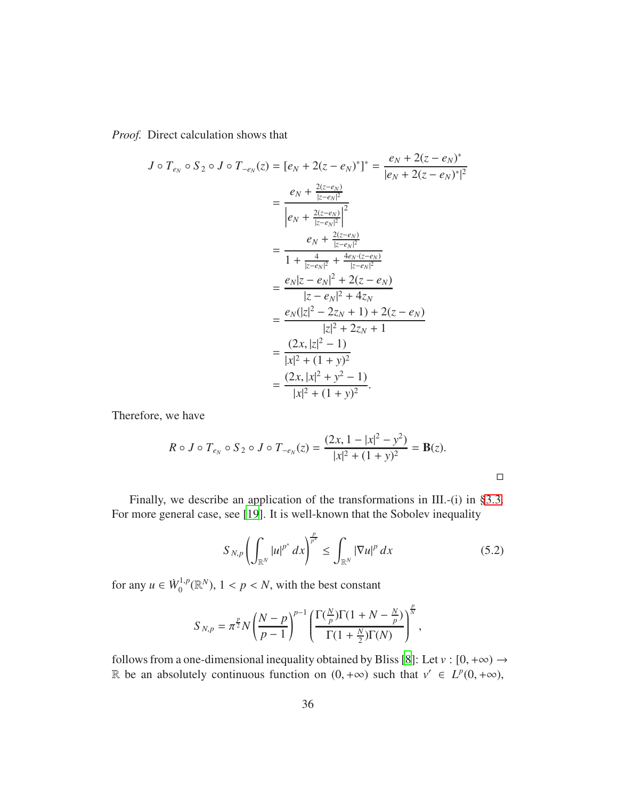*Proof.* Direct calculation shows that

$$
J \circ T_{e_N} \circ S_2 \circ J \circ T_{-e_N}(z) = [e_N + 2(z - e_N)^*]^* = \frac{e_N + 2(z - e_N)^*}{|e_N + 2(z - e_N)^*|^2}
$$
  
\n
$$
= \frac{e_N + \frac{2(z - e_N)}{|z - e_N|^2}}{|e_N + \frac{2(z - e_N)}{|z - e_N|^2}|^2}
$$
  
\n
$$
= \frac{e_N + \frac{2(z - e_N)}{|z - e_N|^2}}{1 + \frac{4}{|z - e_N|^2} + \frac{4e_N \cdot (z - e_N)}{|z - e_N|^2}}
$$
  
\n
$$
= \frac{e_N |z - e_N|^2 + 2(z - e_N)}{|z - e_N|^2 + 4z_N}
$$
  
\n
$$
= \frac{e_N (|z|^2 - 2z_N + 1) + 2(z - e_N)}{|z|^2 + 2z_N + 1}
$$
  
\n
$$
= \frac{(2x, |z|^2 - 1)}{|x|^2 + (1 + y)^2}
$$
  
\n
$$
= \frac{(2x, |x|^2 + y^2 - 1)}{|x|^2 + (1 + y)^2}.
$$

Therefore, we have

$$
R \circ J \circ T_{e_N} \circ S_2 \circ J \circ T_{-e_N}(z) = \frac{(2x, 1 - |x|^2 - y^2)}{|x|^2 + (1 + y)^2} = \mathbf{B}(z).
$$

Finally, we describe an application of the transformations in III.-(i) in [§3.3.](#page-16-0) For more general case, see [\[19\]](#page-39-9). It is well-known that the Sobolev inequality

<span id="page-35-0"></span>
$$
S_{N,p}\left(\int_{\mathbb{R}^N}|u|^{p^*}\,dx\right)^{\frac{p}{p^*}}\leq\int_{\mathbb{R}^N}|\nabla u|^p\,dx\tag{5.2}
$$

for any  $u \in \dot{W}_0^{1,p}$  $\mathbb{R}^{1,p}_{0}(\mathbb{R}^{N}), 1 < p < N$ , with the best constant

$$
S_{N,p} = \pi^{\frac{p}{2}} N \left(\frac{N-p}{p-1}\right)^{p-1} \left(\frac{\Gamma(\frac{N}{p})\Gamma(1+N-\frac{N}{p})}{\Gamma(1+\frac{N}{2})\Gamma(N)}\right)^{\frac{p}{N}},
$$

follows from a one-dimensional inequality obtained by Bliss [\[8\]](#page-38-8): Let  $v : [0, +\infty) \rightarrow$ R be an absolutely continuous function on  $(0, +\infty)$  such that  $v' \in L^p(0, +\infty)$ ,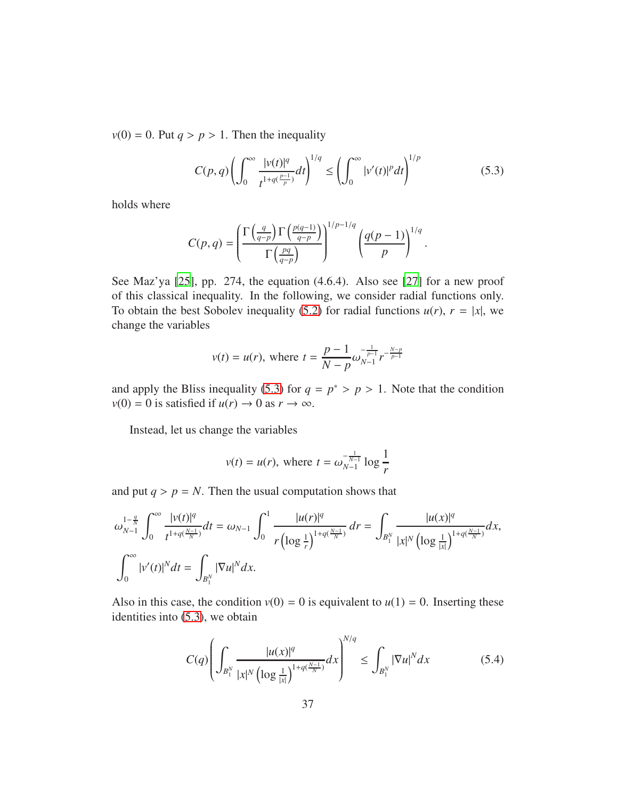$v(0) = 0$ . Put  $q > p > 1$ . Then the inequality

<span id="page-36-0"></span>
$$
C(p,q)\left(\int_0^\infty \frac{|v(t)|^q}{t^{1+q(\frac{p-1}{p})}}dt\right)^{1/q} \le \left(\int_0^\infty |v'(t)|^p dt\right)^{1/p} \tag{5.3}
$$

holds where

$$
C(p,q) = \left(\frac{\Gamma\left(\frac{q}{q-p}\right)\Gamma\left(\frac{p(q-1)}{q-p}\right)}{\Gamma\left(\frac{pq}{q-p}\right)}\right)^{1/p-1/q} \left(\frac{q(p-1)}{p}\right)^{1/q}.
$$

See Maz'ya [\[25\]](#page-40-6), pp. 274, the equation (4.6.4). Also see [\[27](#page-40-7)] for a new proof of this classical inequality. In the following, we consider radial functions only. To obtain the best Sobolev inequality [\(5.2\)](#page-35-0) for radial functions  $u(r)$ ,  $r = |x|$ , we change the variables

$$
v(t) = u(r)
$$
, where  $t = \frac{p-1}{N-p} \omega_{N-1}^{-\frac{1}{p-1}} r^{-\frac{N-p}{p-1}}$ 

and apply the Bliss inequality [\(5.3\)](#page-36-0) for  $q = p^* > p > 1$ . Note that the condition  $v(0) = 0$  is satisfied if  $u(r) \rightarrow 0$  as  $r \rightarrow \infty$ .

Instead, let us change the variables

$$
v(t) = u(r)
$$
, where  $t = \omega_{N-1}^{-\frac{1}{N-1}} \log \frac{1}{r}$ 

and put  $q > p = N$ . Then the usual computation shows that

$$
\omega_{N-1}^{1-\frac{q}{N}} \int_0^\infty \frac{|v(t)|^q}{t^{1+q(\frac{N-1}{N})}} dt = \omega_{N-1} \int_0^1 \frac{|u(r)|^q}{r (\log \frac{1}{r})^{1+q(\frac{N-1}{N})}} dr = \int_{B_1^N} \frac{|u(x)|^q}{|x|^N (\log \frac{1}{|x|})^{1+q(\frac{N-1}{N})}} dx,
$$
  

$$
\int_0^\infty |v'(t)|^N dt = \int_{B_1^N} |\nabla u|^N dx.
$$

Also in this case, the condition  $v(0) = 0$  is equivalent to  $u(1) = 0$ . Inserting these identities into [\(5.3\)](#page-36-0), we obtain

<span id="page-36-1"></span>
$$
C(q) \left( \int_{B_1^N} \frac{|u(x)|^q}{|x|^N \left( \log \frac{1}{|x|} \right)^{1+q(\frac{N-1}{N})}} dx \right)^{N/q} \le \int_{B_1^N} |\nabla u|^N dx \tag{5.4}
$$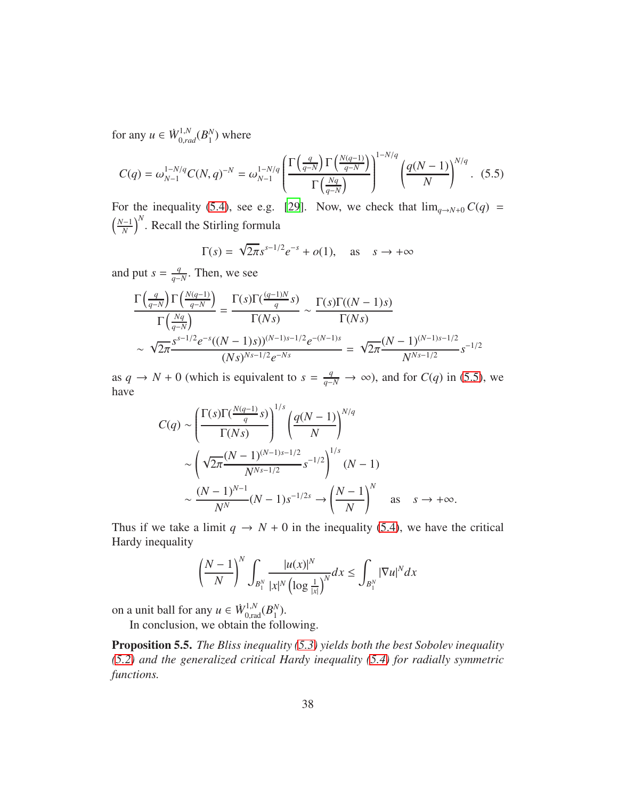for any  $u \in \dot{W}_{0,rad}^{1,N}(B_1^N)$  $_1^N$ ) where

<span id="page-37-1"></span>
$$
C(q) = \omega_{N-1}^{1-N/q} C(N, q)^{-N} = \omega_{N-1}^{1-N/q} \left( \frac{\Gamma\left(\frac{q}{q-N}\right) \Gamma\left(\frac{N(q-1)}{q-N}\right)}{\Gamma\left(\frac{Nq}{q-N}\right)} \right)^{1-N/q} \left( \frac{q(N-1)}{N} \right)^{N/q} . \tag{5.5}
$$

For the inequality [\(5.4\)](#page-36-1), see e.g. [29]. Now, we check that  $\lim_{q \to N+0} C(q)$  =  $\left(\frac{N-1}{N}\right)^N$ . Recall the Stirling formula

$$
\Gamma(s) = \sqrt{2\pi} s^{s-1/2} e^{-s} + o(1), \quad \text{as} \quad s \to +\infty
$$

and put  $s = \frac{q}{q}$ *q*−*N* . Then, we see

$$
\frac{\Gamma\left(\frac{q}{q-N}\right)\Gamma\left(\frac{N(q-1)}{q-N}\right)}{\Gamma\left(\frac{Nq}{q-N}\right)} = \frac{\Gamma(s)\Gamma(\frac{(q-1)N}{q}s)}{\Gamma(Ns)} \sim \frac{\Gamma(s)\Gamma((N-1)s)}{\Gamma(Ns)}
$$
\n
$$
\sim \sqrt{2\pi} \frac{s^{s-1/2}e^{-s}((N-1)s)^{(N-1)s-1/2}e^{-(N-1)s}}{(Ns)^{Ns-1/2}e^{-Ns}} = \sqrt{2\pi} \frac{(N-1)^{(N-1)s-1/2}}{N^{Ns-1/2}}s^{-1/2}
$$

as *q* → *N* + 0 (which is equivalent to  $s = \frac{q}{q-N}$  → ∞), and for *C*(*q*) in [\(5.5\)](#page-37-1), we have

$$
C(q) \sim \left(\frac{\Gamma(s)\Gamma(\frac{N(q-1)}{q}s)}{\Gamma(Ns)}\right)^{1/s} \left(\frac{q(N-1)}{N}\right)^{N/q}
$$

$$
\sim \left(\sqrt{2\pi} \frac{(N-1)^{(N-1)s-1/2}}{N^{Ns-1/2}} s^{-1/2}\right)^{1/s} (N-1)
$$

$$
\sim \frac{(N-1)^{N-1}}{N^N} (N-1) s^{-1/2s} \to \left(\frac{N-1}{N}\right)^N \quad \text{as} \quad s \to +\infty.
$$

Thus if we take a limit  $q \rightarrow N + 0$  in the inequality [\(5.4\)](#page-36-1), we have the critical Hardy inequality

$$
\left(\frac{N-1}{N}\right)^N \int_{B_1^N} \frac{|u(x)|^N}{|x|^N \left(\log \frac{1}{|x|}\right)^N} dx \le \int_{B_1^N} |\nabla u|^N dx
$$

on a unit ball for any  $u \in W_{0,\text{rad}}^{1,N}(B_1^N)$  $_{1}^{N}$ ).

In conclusion, we obtain the following.

<span id="page-37-0"></span>Proposition 5.5. *The Bliss inequality [\(5.3\)](#page-36-0) yields both the best Sobolev inequality [\(5.2\)](#page-35-0) and the generalized critical Hardy inequality [\(5.4\)](#page-36-1) for radially symmetric functions.*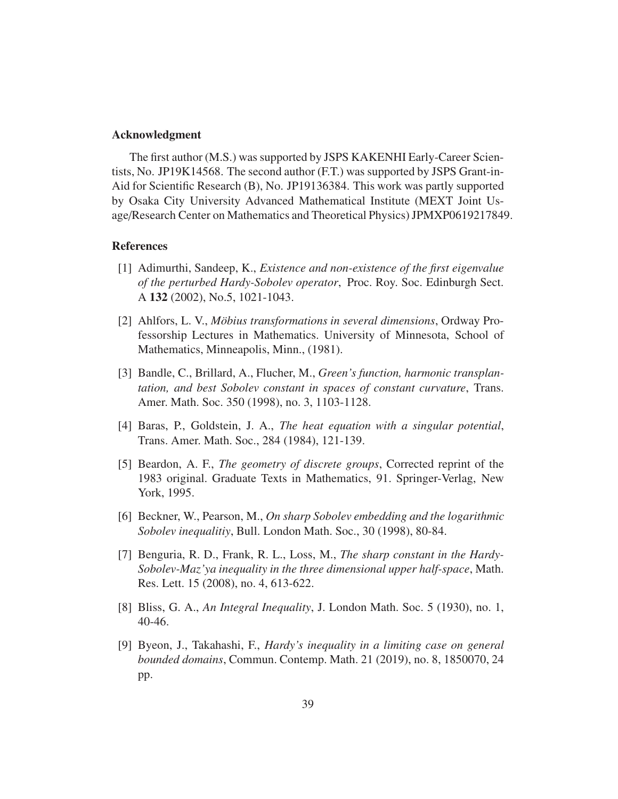## Acknowledgment

The first author (M.S.) was supported by JSPS KAKENHI Early-Career Scientists, No. JP19K14568. The second author (F.T.) was supported by JSPS Grant-in-Aid for Scientific Research (B), No. JP19136384. This work was partly supported by Osaka City University Advanced Mathematical Institute (MEXT Joint Usage/Research Center on Mathematics and Theoretical Physics) JPMXP0619217849.

# References

- <span id="page-38-1"></span>[1] Adimurthi, Sandeep, K., *Existence and non-existence of the first eigenvalue of the perturbed Hardy-Sobolev operator*, Proc. Roy. Soc. Edinburgh Sect. A 132 (2002), No.5, 1021-1043.
- <span id="page-38-3"></span>[2] Ahlfors, L. V., *Möbius transformations in several dimensions*, Ordway Professorship Lectures in Mathematics. University of Minnesota, School of Mathematics, Minneapolis, Minn., (1981).
- <span id="page-38-6"></span>[3] Bandle, C., Brillard, A., Flucher, M., *Green's function, harmonic transplantation, and best Sobolev constant in spaces of constant curvature*, Trans. Amer. Math. Soc. 350 (1998), no. 3, 1103-1128.
- <span id="page-38-0"></span>[4] Baras, P., Goldstein, J. A., *The heat equation with a singular potential*, Trans. Amer. Math. Soc., 284 (1984), 121-139.
- <span id="page-38-4"></span>[5] Beardon, A. F., *The geometry of discrete groups*, Corrected reprint of the 1983 original. Graduate Texts in Mathematics, 91. Springer-Verlag, New York, 1995.
- <span id="page-38-7"></span>[6] Beckner, W., Pearson, M., *On sharp Sobolev embedding and the logarithmic Sobolev inequalitiy*, Bull. London Math. Soc., 30 (1998), 80-84.
- <span id="page-38-5"></span>[7] Benguria, R. D., Frank, R. L., Loss, M., *The sharp constant in the Hardy-Sobolev-Maz'ya inequality in the three dimensional upper half-space*, Math. Res. Lett. 15 (2008), no. 4, 613-622.
- <span id="page-38-8"></span>[8] Bliss, G. A., *An Integral Inequality*, J. London Math. Soc. 5 (1930), no. 1, 40-46.
- <span id="page-38-2"></span>[9] Byeon, J., Takahashi, F., *Hardy's inequality in a limiting case on general bounded domains*, Commun. Contemp. Math. 21 (2019), no. 8, 1850070, 24 pp.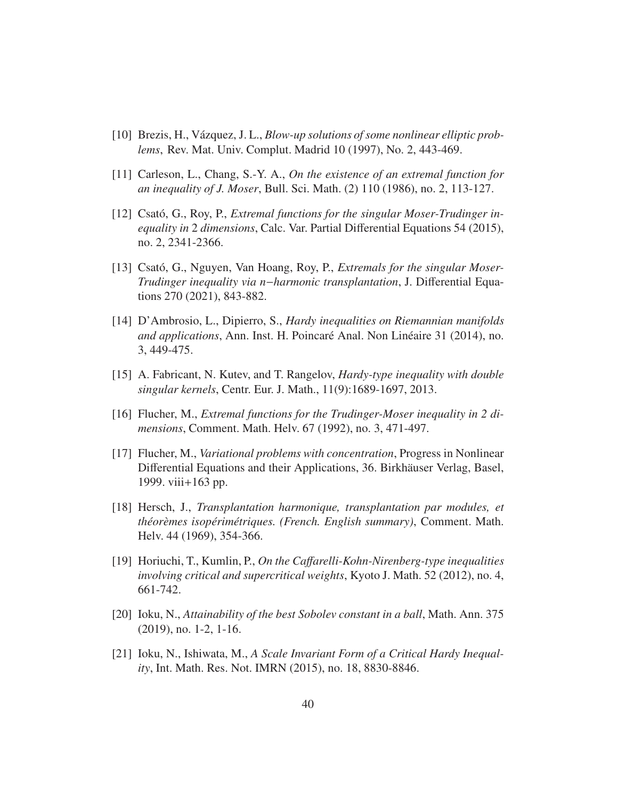- <span id="page-39-0"></span>[10] Brezis, H., V´azquez, J. L., *Blow-up solutions of some nonlinear elliptic problems*, Rev. Mat. Univ. Complut. Madrid 10 (1997), No. 2, 443-469.
- <span id="page-39-10"></span>[11] Carleson, L., Chang, S.-Y. A., *On the existence of an extremal function for an inequality of J. Moser*, Bull. Sci. Math. (2) 110 (1986), no. 2, 113-127.
- <span id="page-39-8"></span>[12] Csató, G., Roy, P., *Extremal functions for the singular Moser-Trudinger inequality in* 2 *dimensions*, Calc. Var. Partial Differential Equations 54 (2015), no. 2, 2341-2366.
- <span id="page-39-6"></span>[13] Csató, G., Nguyen, Van Hoang, Roy, P., *Extremals for the singular Moser-Trudinger inequality via n*−*harmonic transplantation*, J. Differential Equations 270 (2021), 843-882.
- <span id="page-39-4"></span>[14] D'Ambrosio, L., Dipierro, S., *Hardy inequalities on Riemannian manifolds and applications*, Ann. Inst. H. Poincaré Anal. Non Linéaire 31 (2014), no. 3, 449-475.
- <span id="page-39-3"></span>[15] A. Fabricant, N. Kutev, and T. Rangelov, *Hardy-type inequality with double singular kernels*, Centr. Eur. J. Math., 11(9):1689-1697, 2013.
- <span id="page-39-7"></span>[16] Flucher, M., *Extremal functions for the Trudinger-Moser inequality in 2 dimensions*, Comment. Math. Helv. 67 (1992), no. 3, 471-497.
- [17] Flucher, M., *Variational problems with concentration*, Progress in Nonlinear Differential Equations and their Applications, 36. Birkhäuser Verlag, Basel, 1999. viii+163 pp.
- <span id="page-39-5"></span>[18] Hersch, J., *Transplantation harmonique, transplantation par modules, et th´eor`emes isop´erim´etriques. (French. English summary)*, Comment. Math. Helv. 44 (1969), 354-366.
- <span id="page-39-9"></span>[19] Horiuchi, T., Kumlin, P., *On the Ca*ff*arelli-Kohn-Nirenberg-type inequalities involving critical and supercritical weights*, Kyoto J. Math. 52 (2012), no. 4, 661-742.
- <span id="page-39-1"></span>[20] Ioku, N., *Attainability of the best Sobolev constant in a ball*, Math. Ann. 375 (2019), no. 1-2, 1-16.
- <span id="page-39-2"></span>[21] Ioku, N., Ishiwata, M., *A Scale Invariant Form of a Critical Hardy Inequality*, Int. Math. Res. Not. IMRN (2015), no. 18, 8830-8846.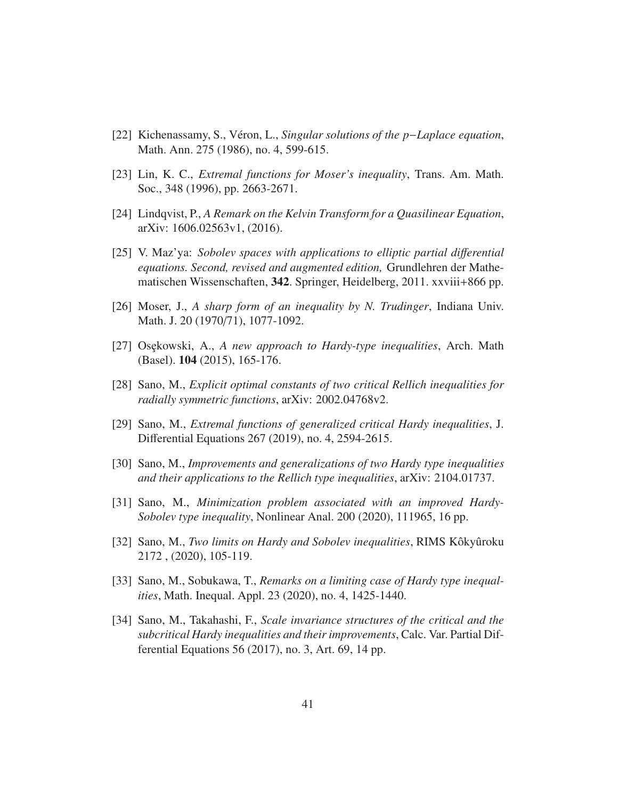- <span id="page-40-0"></span>[22] Kichenassamy, S., V´eron, L., *Singular solutions of the p*−*Laplace equation*, Math. Ann. 275 (1986), no. 4, 599-615.
- <span id="page-40-2"></span>[23] Lin, K. C., *Extremal functions for Moser's inequality*, Trans. Am. Math. Soc., 348 (1996), pp. 2663-2671.
- <span id="page-40-1"></span>[24] Lindqvist, P., *A Remark on the Kelvin Transform for a Quasilinear Equation*, arXiv: 1606.02563v1, (2016).
- <span id="page-40-6"></span>[25] V. Maz'ya: *Sobolev spaces with applications to elliptic partial di*ff*erential equations. Second, revised and augmented edition,* Grundlehren der Mathematischen Wissenschaften, 342. Springer, Heidelberg, 2011. xxviii+866 pp.
- <span id="page-40-4"></span>[26] Moser, J., *A sharp form of an inequality by N. Trudinger*, Indiana Univ. Math. J. 20 (1970/71), 1077-1092.
- <span id="page-40-7"></span>[27] Osekowski, A., *A new approach to Hardy-type inequalities*, Arch. Math (Basel). 104 (2015), 165-176.
- [28] Sano, M., *Explicit optimal constants of two critical Rellich inequalities for radially symmetric functions*, arXiv: 2002.04768v2.
- [29] Sano, M., *Extremal functions of generalized critical Hardy inequalities*, J. Differential Equations 267 (2019), no. 4, 2594-2615.
- [30] Sano, M., *Improvements and generalizations of two Hardy type inequalities and their applications to the Rellich type inequalities*, arXiv: 2104.01737.
- [31] Sano, M., *Minimization problem associated with an improved Hardy-Sobolev type inequality*, Nonlinear Anal. 200 (2020), 111965, 16 pp.
- [32] Sano, M., *Two limits on Hardy and Sobolev inequalities*, RIMS Kôkyûroku 2172 , (2020), 105-119.
- <span id="page-40-3"></span>[33] Sano, M., Sobukawa, T., *Remarks on a limiting case of Hardy type inequalities*, Math. Inequal. Appl. 23 (2020), no. 4, 1425-1440.
- <span id="page-40-5"></span>[34] Sano, M., Takahashi, F., *Scale invariance structures of the critical and the subcritical Hardy inequalities and their improvements*, Calc. Var. Partial Differential Equations 56 (2017), no. 3, Art. 69, 14 pp.